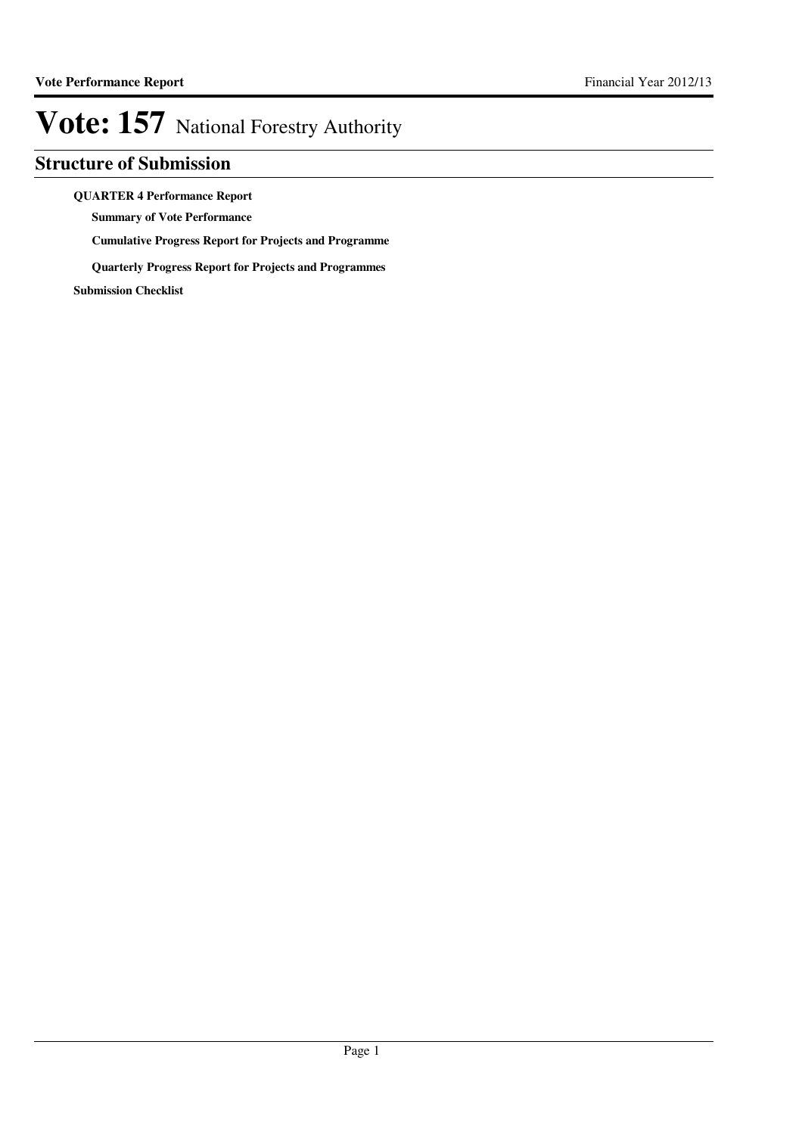### **Structure of Submission**

#### **QUARTER 4 Performance Report**

**Summary of Vote Performance**

**Cumulative Progress Report for Projects and Programme**

**Quarterly Progress Report for Projects and Programmes**

**Submission Checklist**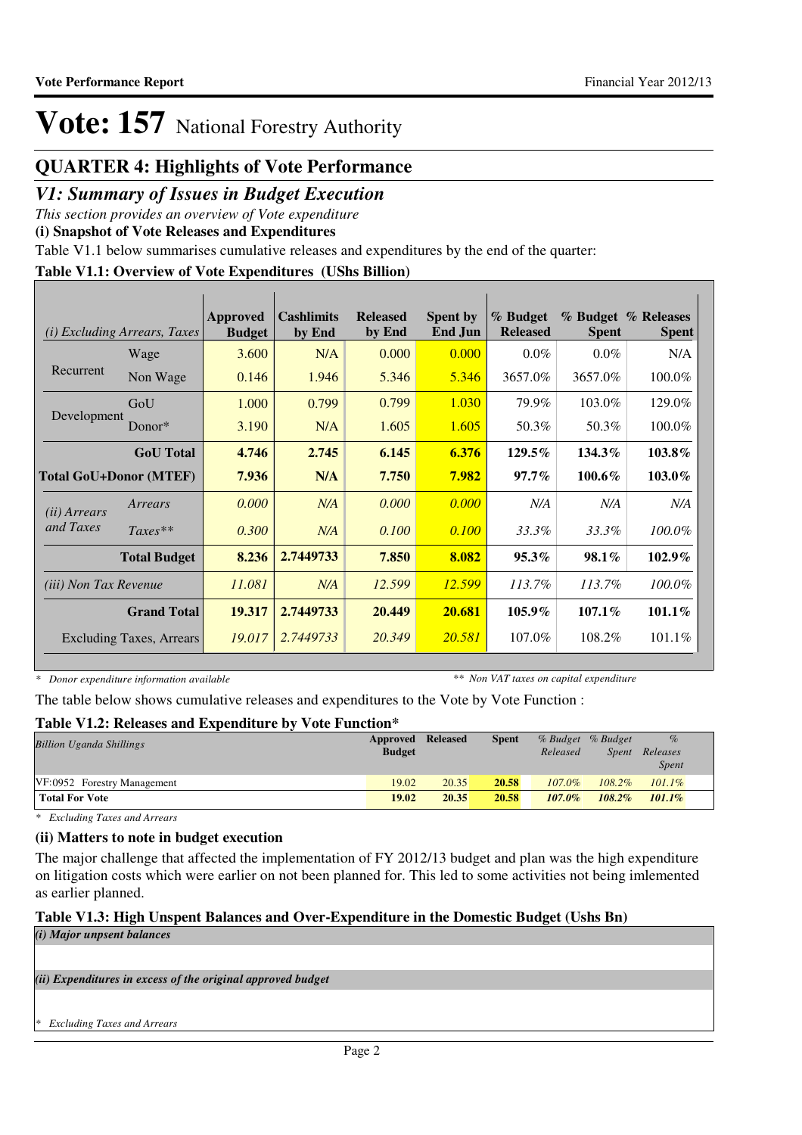### **QUARTER 4: Highlights of Vote Performance**

### *V1: Summary of Issues in Budget Execution*

*This section provides an overview of Vote expenditure* 

**(i) Snapshot of Vote Releases and Expenditures**

Table V1.1 below summarises cumulative releases and expenditures by the end of the quarter:

#### **Table V1.1: Overview of Vote Expenditures (UShs Billion)**

| (i)                           | <b>Excluding Arrears, Taxes</b> | Approved<br><b>Budget</b> | <b>Cashlimits</b><br>by End | <b>Released</b><br>by End | <b>Spent by</b><br><b>End Jun</b> | % Budget<br><b>Released</b> | Spent     | % Budget % Releases<br><b>Spent</b> |
|-------------------------------|---------------------------------|---------------------------|-----------------------------|---------------------------|-----------------------------------|-----------------------------|-----------|-------------------------------------|
|                               | Wage                            | 3.600                     | N/A                         | 0.000                     | 0.000                             | $0.0\%$                     | $0.0\%$   | N/A                                 |
| Recurrent                     | Non Wage                        | 0.146                     | 1.946                       | 5.346                     | 5.346                             | 3657.0%                     | 3657.0%   | 100.0%                              |
|                               | GoU                             | 1.000                     | 0.799                       | 0.799                     | 1.030                             | 79.9%                       | 103.0%    | 129.0%                              |
| Development                   | Donor $*$                       | 3.190                     | N/A                         | 1.605                     | 1.605                             | 50.3%                       | 50.3%     | 100.0%                              |
|                               | <b>GoU</b> Total                | 4.746                     | 2.745                       | 6.145                     | 6.376                             | $129.5\%$                   | $134.3\%$ | 103.8%                              |
| <b>Total GoU+Donor (MTEF)</b> |                                 | 7.936                     | N/A                         | 7.750                     | 7.982                             | $97.7\%$                    | 100.6%    | 103.0%                              |
| ( <i>ii</i> ) Arrears         | Arrears                         | 0.000                     | N/A                         | 0.000                     | 0.000                             | N/A                         | N/A       | N/A                                 |
| and Taxes                     | $Taxes**$                       | 0.300                     | N/A                         | 0.100                     | 0.100                             | 33.3%                       | 33.3%     | $100.0\%$                           |
|                               | <b>Total Budget</b>             | 8.236                     | 2.7449733                   | 7.850                     | 8.082                             | $95.3\%$                    | 98.1%     | $102.9\%$                           |
| <i>(iii) Non Tax Revenue</i>  |                                 | 11.081                    | N/A                         | 12.599                    | 12.599                            | 113.7%                      | 113.7%    | 100.0%                              |
|                               | <b>Grand Total</b>              | 19.317                    | 2.7449733                   | 20.449                    | 20.681                            | 105.9%                      | $107.1\%$ | $101.1\%$                           |
|                               | Excluding Taxes, Arrears        | 19.017                    | 2.7449733                   | 20.349                    | 20.581                            | 107.0%                      | 108.2%    | 101.1%                              |

*\* Donor expenditure information available*

*\*\* Non VAT taxes on capital expenditure*

The table below shows cumulative releases and expenditures to the Vote by Vote Function :

### **Table V1.2: Releases and Expenditure by Vote Function\***

| <b>Billion Uganda Shillings</b> | Approved Released<br><b>Budget</b> |       | <b>Spent</b> | Released  | % Budget % Budget<br>Spent | $\%$<br>Releases<br>Spent |
|---------------------------------|------------------------------------|-------|--------------|-----------|----------------------------|---------------------------|
| VF:0952 Forestry Management     | 19.02                              | 20.35 | 20.58        | $107.0\%$ | $108.2\%$                  | $101.1\%$                 |
| <b>Total For Vote</b>           | 19.02                              | 20.35 | 20.58        | $107.0\%$ | $108.2\%$                  | $101.1\%$                 |

*\* Excluding Taxes and Arrears*

### **(ii) Matters to note in budget execution**

The major challenge that affected the implementation of FY 2012/13 budget and plan was the high expenditure on litigation costs which were earlier on not been planned for. This led to some activities not being imlemented as earlier planned.

### **Table V1.3: High Unspent Balances and Over-Expenditure in the Domestic Budget (Ushs Bn)**

*(i) Major unpsent balances*

*(ii) Expenditures in excess of the original approved budget*

*\* Excluding Taxes and Arrears*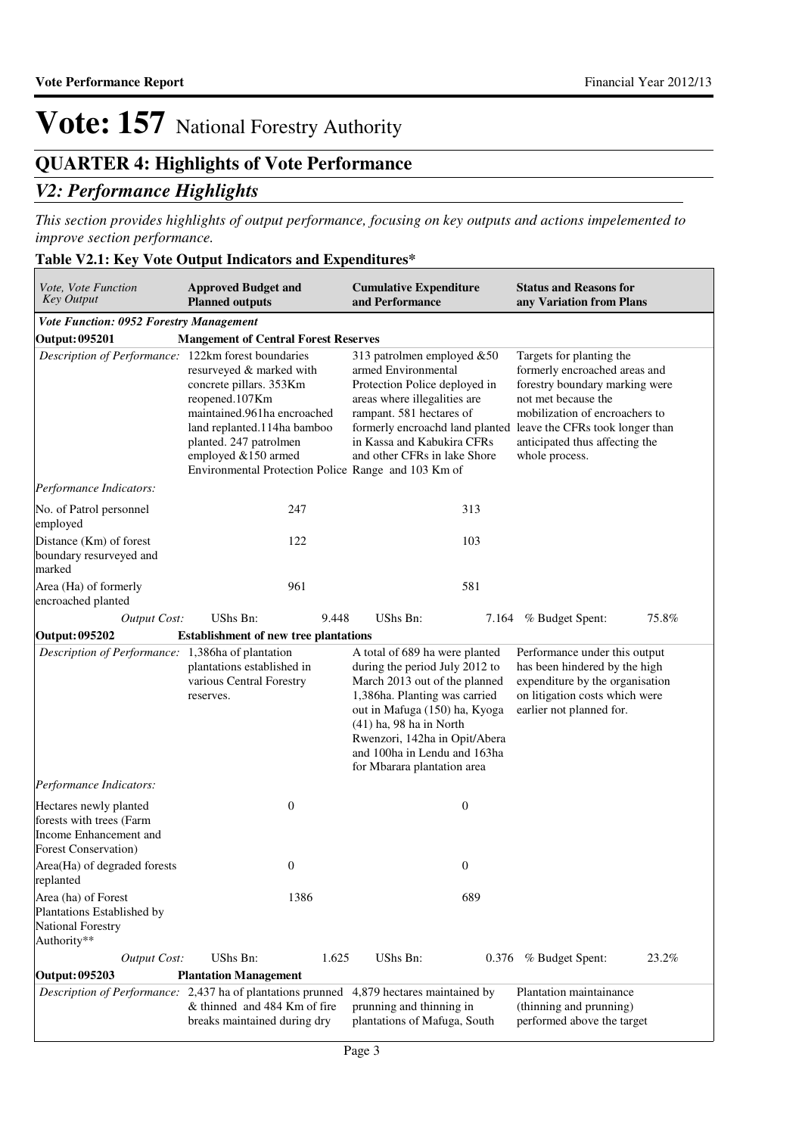## **QUARTER 4: Highlights of Vote Performance**

### *V2: Performance Highlights*

*This section provides highlights of output performance, focusing on key outputs and actions impelemented to improve section performance.*

### **Table V2.1: Key Vote Output Indicators and Expenditures\***

| Vote, Vote Function<br><b>Key Output</b>                                                                     | <b>Approved Budget and</b><br><b>Planned outputs</b>                                                                                                                                                                                        | <b>Cumulative Expenditure</b><br>and Performance                                                                                                                                                                                                                                                 | <b>Status and Reasons for</b><br>any Variation from Plans                                                                                                                                                |
|--------------------------------------------------------------------------------------------------------------|---------------------------------------------------------------------------------------------------------------------------------------------------------------------------------------------------------------------------------------------|--------------------------------------------------------------------------------------------------------------------------------------------------------------------------------------------------------------------------------------------------------------------------------------------------|----------------------------------------------------------------------------------------------------------------------------------------------------------------------------------------------------------|
| Vote Function: 0952 Forestry Management                                                                      |                                                                                                                                                                                                                                             |                                                                                                                                                                                                                                                                                                  |                                                                                                                                                                                                          |
| Output: 095201                                                                                               | <b>Mangement of Central Forest Reserves</b>                                                                                                                                                                                                 |                                                                                                                                                                                                                                                                                                  |                                                                                                                                                                                                          |
| Description of Performance: 122km forest boundaries                                                          | resurveyed & marked with<br>concrete pillars. 353Km<br>reopened.107Km<br>maintained.961ha encroached<br>land replanted.114ha bamboo<br>planted. 247 patrolmen<br>employed &150 armed<br>Environmental Protection Police Range and 103 Km of | 313 patrolmen employed &50<br>armed Environmental<br>Protection Police deployed in<br>areas where illegalities are<br>rampant. 581 hectares of<br>formerly encroachd land planted leave the CFRs took longer than<br>in Kassa and Kabukira CFRs<br>and other CFRs in lake Shore                  | Targets for planting the<br>formerly encroached areas and<br>forestry boundary marking were<br>not met because the<br>mobilization of encroachers to<br>anticipated thus affecting the<br>whole process. |
| Performance Indicators:                                                                                      |                                                                                                                                                                                                                                             |                                                                                                                                                                                                                                                                                                  |                                                                                                                                                                                                          |
| No. of Patrol personnel<br>employed                                                                          | 247                                                                                                                                                                                                                                         | 313                                                                                                                                                                                                                                                                                              |                                                                                                                                                                                                          |
| Distance (Km) of forest<br>boundary resurveyed and<br>marked                                                 | 122                                                                                                                                                                                                                                         | 103                                                                                                                                                                                                                                                                                              |                                                                                                                                                                                                          |
| Area (Ha) of formerly<br>encroached planted                                                                  | 961                                                                                                                                                                                                                                         | 581                                                                                                                                                                                                                                                                                              |                                                                                                                                                                                                          |
| <b>Output Cost:</b>                                                                                          | UShs Bn:<br>9.448                                                                                                                                                                                                                           | UShs Bn:                                                                                                                                                                                                                                                                                         | 75.8%<br>7.164 % Budget Spent:                                                                                                                                                                           |
| Output: 095202                                                                                               | <b>Establishment of new tree plantations</b>                                                                                                                                                                                                |                                                                                                                                                                                                                                                                                                  |                                                                                                                                                                                                          |
| Description of Performance: 1,386ha of plantation                                                            | plantations established in<br>various Central Forestry<br>reserves.                                                                                                                                                                         | A total of 689 ha were planted<br>during the period July 2012 to<br>March 2013 out of the planned<br>1,386ha. Planting was carried<br>out in Mafuga (150) ha, Kyoga<br>$(41)$ ha, 98 ha in North<br>Rwenzori, 142ha in Opit/Abera<br>and 100ha in Lendu and 163ha<br>for Mbarara plantation area | Performance under this output<br>has been hindered by the high<br>expenditure by the organisation<br>on litigation costs which were<br>earlier not planned for.                                          |
| Performance Indicators:                                                                                      |                                                                                                                                                                                                                                             |                                                                                                                                                                                                                                                                                                  |                                                                                                                                                                                                          |
| Hectares newly planted<br>forests with trees (Farm<br>Income Enhancement and<br><b>Forest Conservation</b> ) | $\boldsymbol{0}$                                                                                                                                                                                                                            | $\mathbf{0}$                                                                                                                                                                                                                                                                                     |                                                                                                                                                                                                          |
| Area(Ha) of degraded forests<br>replanted                                                                    | $\boldsymbol{0}$                                                                                                                                                                                                                            | $\boldsymbol{0}$                                                                                                                                                                                                                                                                                 |                                                                                                                                                                                                          |
| Area (ha) of Forest<br>Plantations Established by<br>National Forestry<br>Authority**                        | 1386                                                                                                                                                                                                                                        | 689                                                                                                                                                                                                                                                                                              |                                                                                                                                                                                                          |
| <b>Output Cost:</b>                                                                                          | UShs Bn:<br>1.625                                                                                                                                                                                                                           | UShs Bn:                                                                                                                                                                                                                                                                                         | 0.376 % Budget Spent:<br>23.2%                                                                                                                                                                           |
| Output: 095203                                                                                               | <b>Plantation Management</b>                                                                                                                                                                                                                |                                                                                                                                                                                                                                                                                                  |                                                                                                                                                                                                          |
|                                                                                                              | <i>Description of Performance:</i> 2,437 ha of plantations prunned<br>& thinned and 484 Km of fire<br>breaks maintained during dry                                                                                                          | 4,879 hectares maintained by<br>prunning and thinning in<br>plantations of Mafuga, South                                                                                                                                                                                                         | Plantation maintainance<br>(thinning and prunning)<br>performed above the target                                                                                                                         |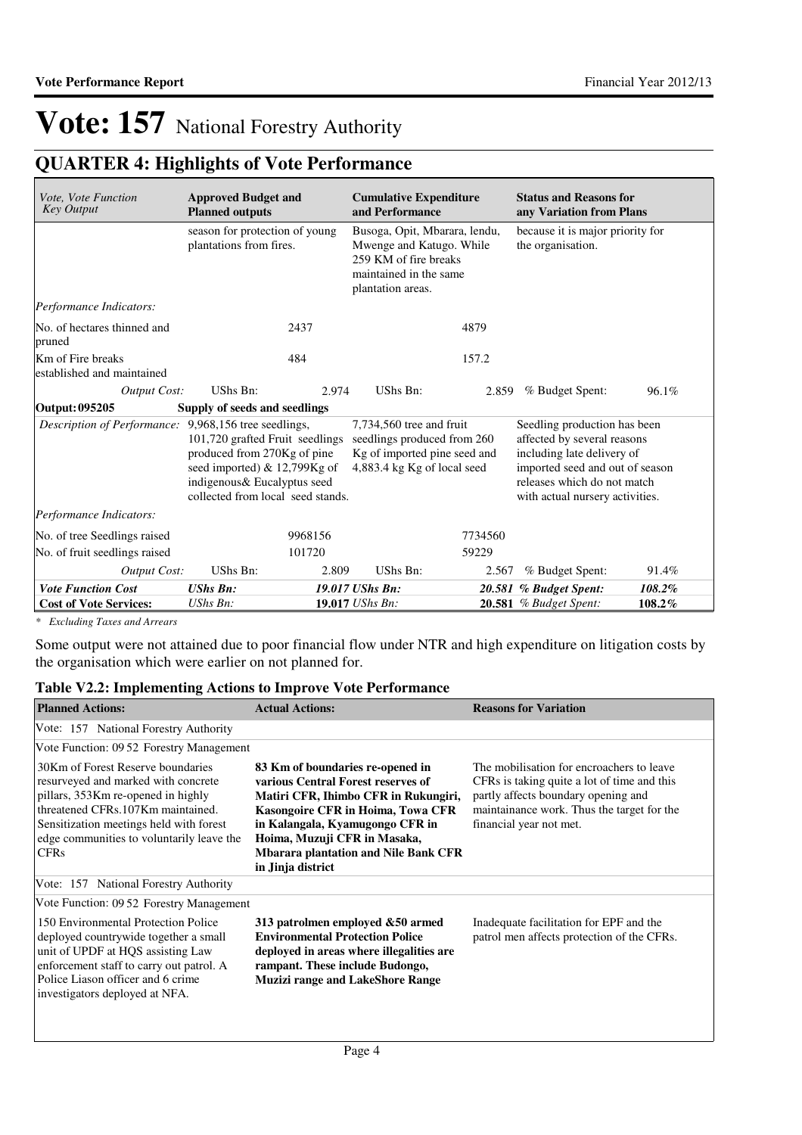## **QUARTER 4: Highlights of Vote Performance**

| Vote, Vote Function<br><b>Key Output</b>              | <b>Approved Budget and</b><br><b>Planned outputs</b>                                                                                                               | <b>Cumulative Expenditure</b><br>and Performance                                                                                  |         | <b>Status and Reasons for</b><br>any Variation from Plans                                                                                                                                      |        |
|-------------------------------------------------------|--------------------------------------------------------------------------------------------------------------------------------------------------------------------|-----------------------------------------------------------------------------------------------------------------------------------|---------|------------------------------------------------------------------------------------------------------------------------------------------------------------------------------------------------|--------|
|                                                       | season for protection of young<br>plantations from fires.                                                                                                          | Busoga, Opit, Mbarara, lendu,<br>Mwenge and Katugo. While<br>259 KM of fire breaks<br>maintained in the same<br>plantation areas. |         | because it is major priority for<br>the organisation.                                                                                                                                          |        |
| Performance Indicators:                               |                                                                                                                                                                    |                                                                                                                                   |         |                                                                                                                                                                                                |        |
| No. of hectares thinned and<br>pruned                 | 2437                                                                                                                                                               | 4879                                                                                                                              |         |                                                                                                                                                                                                |        |
| Km of Fire breaks<br>established and maintained       | 484                                                                                                                                                                | 157.2                                                                                                                             |         |                                                                                                                                                                                                |        |
| Output Cost:                                          | UShs Bn:                                                                                                                                                           | <b>UShs Bn:</b><br>2.974                                                                                                          | 2.859   | % Budget Spent:                                                                                                                                                                                | 96.1%  |
| <b>Output: 095205</b>                                 | Supply of seeds and seedlings                                                                                                                                      |                                                                                                                                   |         |                                                                                                                                                                                                |        |
| Description of Performance: 9,968,156 tree seedlings, | 101,720 grafted Fruit seedlings<br>produced from 270Kg of pine<br>seed imported) & 12,799Kg of<br>indigenous& Eucalyptus seed<br>collected from local seed stands. | 7,734,560 tree and fruit<br>seedlings produced from 260<br>Kg of imported pine seed and<br>4,883.4 kg Kg of local seed            |         | Seedling production has been<br>affected by several reasons<br>including late delivery of<br>imported seed and out of season<br>releases which do not match<br>with actual nursery activities. |        |
| Performance Indicators:                               |                                                                                                                                                                    |                                                                                                                                   |         |                                                                                                                                                                                                |        |
| No. of tree Seedlings raised                          | 9968156                                                                                                                                                            |                                                                                                                                   | 7734560 |                                                                                                                                                                                                |        |
| No. of fruit seedlings raised                         | 101720                                                                                                                                                             | 59229                                                                                                                             |         |                                                                                                                                                                                                |        |
| Output Cost:                                          | UShs Bn:                                                                                                                                                           | 2.809<br>UShs Bn:                                                                                                                 | 2.567   | % Budget Spent:                                                                                                                                                                                | 91.4%  |
| <b>Vote Function Cost</b>                             | <b>UShs Bn:</b>                                                                                                                                                    | 19.017 UShs Bn:                                                                                                                   |         | 20.581 % Budget Spent:                                                                                                                                                                         | 108.2% |
| <b>Cost of Vote Services:</b>                         | $UShs Bn$ :                                                                                                                                                        | 19.017 UShs Bn:                                                                                                                   |         | <b>20.581</b> % Budget Spent:                                                                                                                                                                  | 108.2% |

*\* Excluding Taxes and Arrears*

Some output were not attained due to poor financial flow under NTR and high expenditure on litigation costs by the organisation which were earlier on not planned for.

### **Table V2.2: Implementing Actions to Improve Vote Performance**

| <b>Planned Actions:</b>                                                                                                                                                                                                                                    | <b>Actual Actions:</b>                                                                                                                                                                                                                                                                     | <b>Reasons for Variation</b>                                                                                                                                                                             |
|------------------------------------------------------------------------------------------------------------------------------------------------------------------------------------------------------------------------------------------------------------|--------------------------------------------------------------------------------------------------------------------------------------------------------------------------------------------------------------------------------------------------------------------------------------------|----------------------------------------------------------------------------------------------------------------------------------------------------------------------------------------------------------|
| Vote: 157 National Forestry Authority                                                                                                                                                                                                                      |                                                                                                                                                                                                                                                                                            |                                                                                                                                                                                                          |
| Vote Function: 09.52 Forestry Management                                                                                                                                                                                                                   |                                                                                                                                                                                                                                                                                            |                                                                                                                                                                                                          |
| 30Km of Forest Reserve boundaries<br>resurveyed and marked with concrete<br>pillars, 353Km re-opened in highly<br>threatened CFRs.107Km maintained.<br>Sensitization meetings held with forest<br>edge communities to voluntarily leave the<br><b>CFRs</b> | 83 Km of boundaries re-opened in<br>various Central Forest reserves of<br>Matiri CFR, Ihimbo CFR in Rukungiri,<br>Kasongoire CFR in Hoima, Towa CFR<br>in Kalangala, Kyamugongo CFR in<br>Hoima, Muzuji CFR in Masaka,<br><b>Mbarara plantation and Nile Bank CFR</b><br>in Jinja district | The mobilisation for encroachers to leave<br>CFRs is taking quite a lot of time and this<br>partly affects boundary opening and<br>maintainance work. Thus the target for the<br>financial year not met. |
| Vote: 157 National Forestry Authority                                                                                                                                                                                                                      |                                                                                                                                                                                                                                                                                            |                                                                                                                                                                                                          |
| Vote Function: 09.52 Forestry Management                                                                                                                                                                                                                   |                                                                                                                                                                                                                                                                                            |                                                                                                                                                                                                          |
| 150 Environmental Protection Police<br>deployed countrywide together a small<br>unit of UPDF at HQS assisting Law<br>enforcement staff to carry out patrol. A<br>Police Liason officer and 6 crime<br>investigators deployed at NFA.                       | 313 patrolmen employed &50 armed<br><b>Environmental Protection Police</b><br>deployed in areas where illegalities are<br>rampant. These include Budongo,<br><b>Muzizi range and LakeShore Range</b>                                                                                       | Inadequate facilitation for EPF and the<br>patrol men affects protection of the CFRs.                                                                                                                    |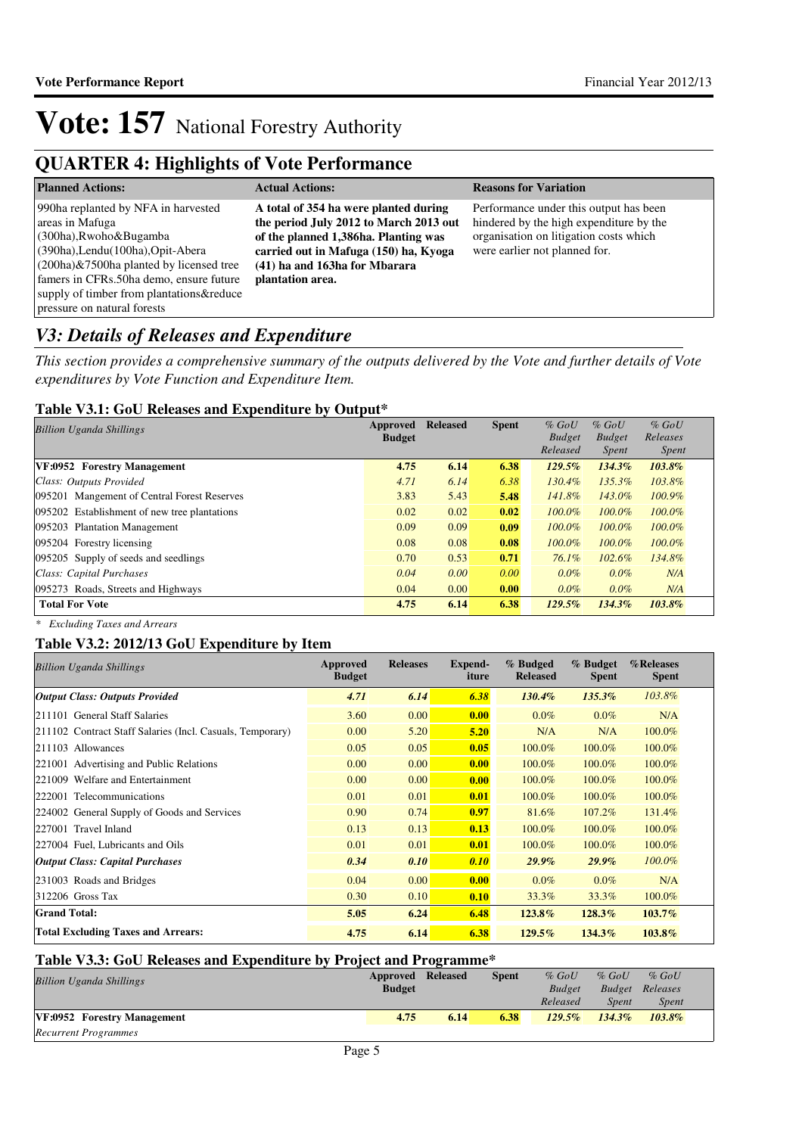### **QUARTER 4: Highlights of Vote Performance**

| <b>Planned Actions:</b>                                                                                                                                                                                                                                                                         | <b>Actual Actions:</b>                                                                                                                                                                                                | <b>Reasons for Variation</b>                                                                                                                                 |
|-------------------------------------------------------------------------------------------------------------------------------------------------------------------------------------------------------------------------------------------------------------------------------------------------|-----------------------------------------------------------------------------------------------------------------------------------------------------------------------------------------------------------------------|--------------------------------------------------------------------------------------------------------------------------------------------------------------|
| 990ha replanted by NFA in harvested<br>areas in Mafuga<br>$(300ha)$ , Rwoho & Bugamba<br>(390ha), Lendu (100ha), Opit-Abera<br>$(200ha)$ &7500ha planted by licensed tree<br>famers in CFRs.50ha demo, ensure future<br>supply of timber from plantations&reduce<br>pressure on natural forests | A total of 354 ha were planted during<br>the period July 2012 to March 2013 out<br>of the planned 1,386ha. Planting was<br>carried out in Mafuga (150) ha, Kyoga<br>(41) ha and 163ha for Mbarara<br>plantation area. | Performance under this output has been<br>hindered by the high expenditure by the<br>organisation on litigation costs which<br>were earlier not planned for. |

### *V3: Details of Releases and Expenditure*

*This section provides a comprehensive summary of the outputs delivered by the Vote and further details of Vote expenditures by Vote Function and Expenditure Item.*

#### **Table V3.1: GoU Releases and Expenditure by Output\***

| <b>Billion Uganda Shillings</b>              | Approved      | <b>Released</b> | <b>Spent</b> | $%$ GoU       | $%$ GoU       | $%$ GoU      |  |
|----------------------------------------------|---------------|-----------------|--------------|---------------|---------------|--------------|--|
|                                              | <b>Budget</b> |                 |              | <b>Budget</b> | <b>Budget</b> | Releases     |  |
|                                              |               |                 |              | Released      | <i>Spent</i>  | <i>Spent</i> |  |
| VF:0952 Forestry Management                  | 4.75          | 6.14            | 6.38         | $129.5\%$     | 134.3%        | 103.8%       |  |
| Class: Outputs Provided                      | 4.71          | 6.14            | 6.38         | 130.4%        | 135.3%        | 103.8%       |  |
| 095201 Mangement of Central Forest Reserves  | 3.83          | 5.43            | 5.48         | 141.8%        | 143.0%        | $100.9\%$    |  |
| 095202 Establishment of new tree plantations | 0.02          | 0.02            | 0.02         | 100.0%        | 100.0%        | $100.0\%$    |  |
| 095203 Plantation Management                 | 0.09          | 0.09            | 0.09         | $100.0\%$     | 100.0%        | $100.0\%$    |  |
| 095204 Forestry licensing                    | 0.08          | 0.08            | 0.08         | 100.0%        | 100.0%        | $100.0\%$    |  |
| 095205 Supply of seeds and seedlings         | 0.70          | 0.53            | 0.71         | $76.1\%$      | 102.6%        | 134.8%       |  |
| Class: Capital Purchases                     | 0.04          | 0.00            | 0.00         | $0.0\%$       | $0.0\%$       | N/A          |  |
| 095273 Roads, Streets and Highways           | 0.04          | 0.00            | 0.00         | $0.0\%$       | $0.0\%$       | N/A          |  |
| <b>Total For Vote</b>                        | 4.75          | 6.14            | 6.38         | $129.5\%$     | 134.3%        | 103.8%       |  |

*\* Excluding Taxes and Arrears*

### **Table V3.2: 2012/13 GoU Expenditure by Item**

| <b>Billion Uganda Shillings</b>                           | Approved<br><b>Budget</b> | <b>Releases</b> | Expend-<br>iture | % Budged<br><b>Released</b> | % Budget<br><b>Spent</b> | %Releases<br><b>Spent</b> |
|-----------------------------------------------------------|---------------------------|-----------------|------------------|-----------------------------|--------------------------|---------------------------|
| <b>Output Class: Outputs Provided</b>                     | 4.71                      | 6.14            | 6.38             | $130.4\%$                   | $135.3\%$                | 103.8%                    |
| 211101 General Staff Salaries                             | 3.60                      | 0.00            | 0.00             | $0.0\%$                     | $0.0\%$                  | N/A                       |
| 211102 Contract Staff Salaries (Incl. Casuals, Temporary) | 0.00                      | 5.20            | 5.20             | N/A                         | N/A                      | 100.0%                    |
| 211103 Allowances                                         | 0.05                      | 0.05            | 0.05             | 100.0%                      | 100.0%                   | 100.0%                    |
| 221001 Advertising and Public Relations                   | 0.00                      | 0.00            | 0.00             | 100.0%                      | 100.0%                   | 100.0%                    |
| 221009 Welfare and Entertainment                          | 0.00                      | 0.00            | 0.00             | 100.0%                      | 100.0%                   | 100.0%                    |
| 222001 Telecommunications                                 | 0.01                      | 0.01            | 0.01             | 100.0%                      | 100.0%                   | 100.0%                    |
| 224002 General Supply of Goods and Services               | 0.90                      | 0.74            | 0.97             | 81.6%                       | 107.2%                   | 131.4%                    |
| 227001 Travel Inland                                      | 0.13                      | 0.13            | 0.13             | 100.0%                      | 100.0%                   | 100.0%                    |
| 227004 Fuel, Lubricants and Oils                          | 0.01                      | 0.01            | 0.01             | 100.0%                      | 100.0%                   | 100.0%                    |
| <b>Output Class: Capital Purchases</b>                    | 0.34                      | 0.10            | 0.10             | $29.9\%$                    | $29.9\%$                 | 100.0%                    |
| 231003 Roads and Bridges                                  | 0.04                      | 0.00            | 0.00             | $0.0\%$                     | $0.0\%$                  | N/A                       |
| 312206 Gross Tax                                          | 0.30                      | 0.10            | 0.10             | 33.3%                       | 33.3%                    | 100.0%                    |
| <b>Grand Total:</b>                                       | 5.05                      | 6.24            | 6.48             | 123.8%                      | $128.3\%$                | $103.7\%$                 |
| <b>Total Excluding Taxes and Arrears:</b>                 | 4.75                      | 6.14            | 6.38             | $129.5\%$                   | 134.3%                   | 103.8%                    |

#### **Table V3.3: GoU Releases and Expenditure by Project and Programme\* Approved Released Spent**

| <b>Billion Uganda Shillings</b> | Approved Released |      | <b>Spent</b> | $%$ GoU       | $%$ GoU   | $%$ GoU                |  |
|---------------------------------|-------------------|------|--------------|---------------|-----------|------------------------|--|
|                                 | <b>Budget</b>     |      |              | <b>Budget</b> |           | <b>Budget</b> Releases |  |
|                                 |                   |      |              | Released      | Spent     | <b>Spent</b>           |  |
| VF:0952 Forestry Management     | 4.75              | 6.14 | 6.38         | $129.5\%$     | $134.3\%$ | 103.8%                 |  |
| <b>Recurrent Programmes</b>     |                   |      |              |               |           |                        |  |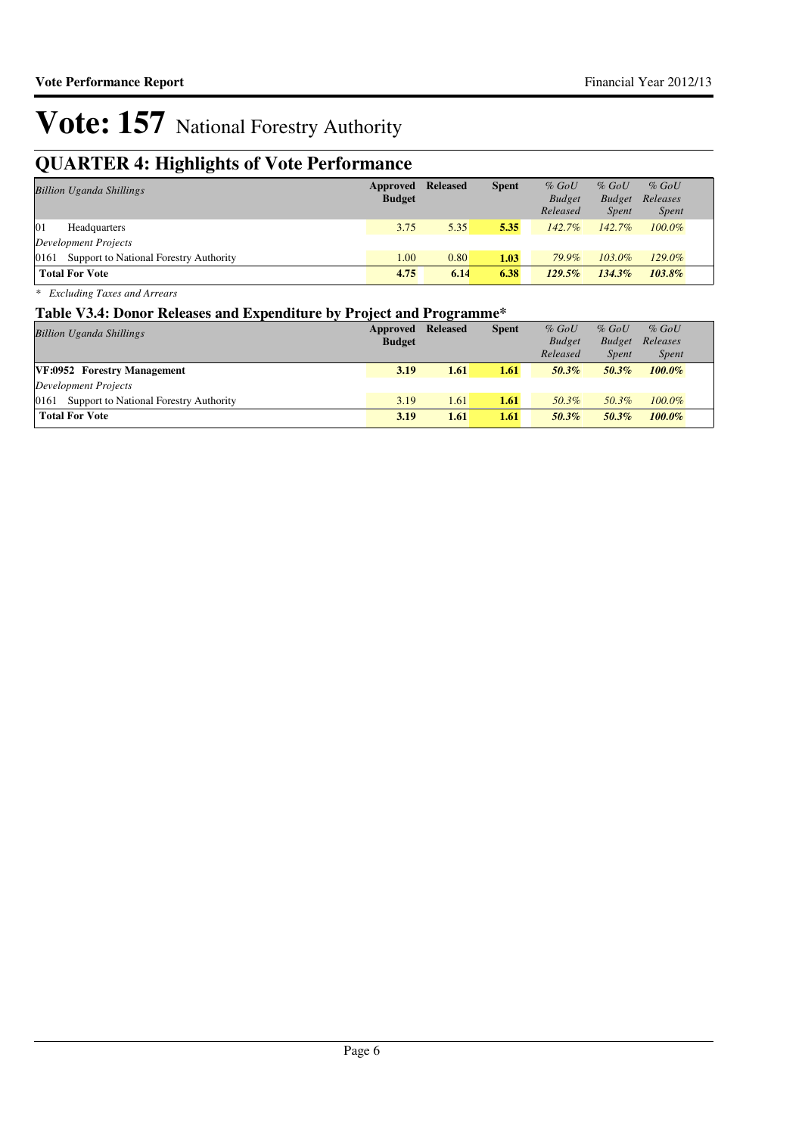## **QUARTER 4: Highlights of Vote Performance**

| <b>Billion Uganda Shillings</b>             | <b>Approved Released</b><br><b>Budget</b> |      | <b>Spent</b> | $%$ GoU<br><b>Budget</b><br>Released | $%$ GoU<br><b>Budget</b><br><i>Spent</i> | $%$ GoU<br>Releases<br><i>Spent</i> |
|---------------------------------------------|-------------------------------------------|------|--------------|--------------------------------------|------------------------------------------|-------------------------------------|
| 01<br>Headquarters                          | 3.75                                      | 5.35 | 5.35         | $142.7\%$                            | $142.7\%$                                | $100.0\%$                           |
| Development Projects                        |                                           |      |              |                                      |                                          |                                     |
| 0161 Support to National Forestry Authority | 1.00                                      | 0.80 | 1.03         | 79.9%                                | 103.0%                                   | 129.0%                              |
| <b>Total For Vote</b>                       | 4.75                                      | 6.14 | 6.38         | $129.5\%$                            | $134.3\%$                                | $103.8\%$                           |

*\* Excluding Taxes and Arrears*

#### **Table V3.4: Donor Releases and Expenditure by Project and Programme\***

| <b>Billion Uganda Shillings</b>                | <b>Approved Released</b> |      | <b>Spent</b> | $%$ GoU       | $%$ GoU       | $%$ GoU      |
|------------------------------------------------|--------------------------|------|--------------|---------------|---------------|--------------|
|                                                | <b>Budget</b>            |      |              | <b>Budget</b> | <b>Budget</b> | Releases     |
|                                                |                          |      |              | Released      | Spent         | <i>Spent</i> |
| VF:0952 Forestry Management                    | 3.19                     | 1.61 | 1.61         | $50.3\%$      | 50.3%         | $100.0\%$    |
| Development Projects                           |                          |      |              |               |               |              |
| Support to National Forestry Authority<br>0161 | 3.19                     | 1.61 | 1.61         | 50.3%         | 50.3%         | $100.0\%$    |
| <b>Total For Vote</b>                          | 3.19                     | 1.61 | 1.61         | $50.3\%$      | 50.3%         | $100.0\%$    |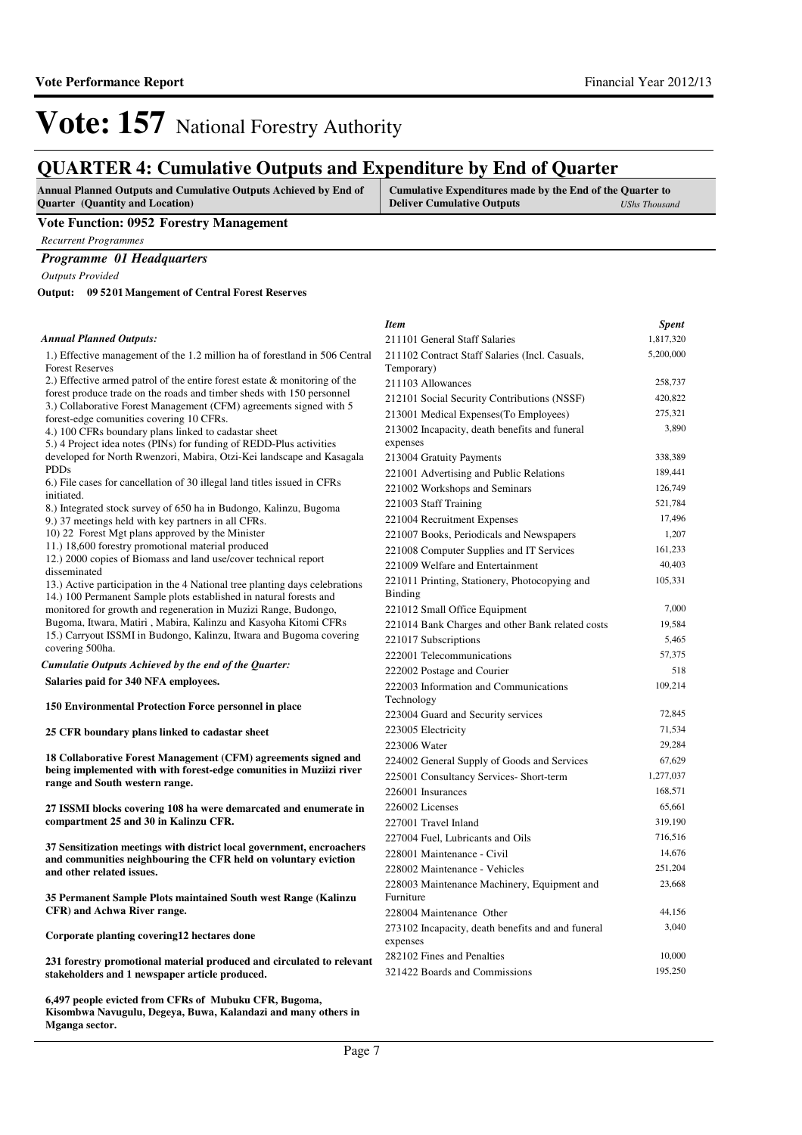*Item Spent*

## **Vote: 157** National Forestry Authority

### **QUARTER 4: Cumulative Outputs and Expenditure by End of Quarter**

| <b>Annual Planned Outputs and Cumulative Outputs Achieved by End of</b> | <b>Cumulative Expenditures made by the End of the Quarter to</b> |               |
|-------------------------------------------------------------------------|------------------------------------------------------------------|---------------|
| <b>Ouarter</b> (Quantity and Location)                                  | <b>Deliver Cumulative Outputs</b>                                | UShs Thousand |

#### **Vote Function: 0952 Forestry Management**

*Recurrent Programmes*

#### *Programme 01 Headquarters*

*Outputs Provided*

**09 5201 Mangement of Central Forest Reserves Output:**

**6,497 people evicted from CFRs of Mubuku CFR, Bugoma, Kisombwa Navugulu, Degeya, Buwa, Kalandazi and many others in** 

**Mganga sector.**

#### *Annual Planned Outputs:*

| 5,200,000<br>211102 Contract Staff Salaries (Incl. Casuals,<br>1.) Effective management of the 1.2 million ha of forestland in 506 Central<br><b>Forest Reserves</b><br>Temporary)<br>2.) Effective armed patrol of the entire forest estate & monitoring of the<br>258,737<br>211103 Allowances<br>forest produce trade on the roads and timber sheds with 150 personnel<br>212101 Social Security Contributions (NSSF)<br>420,822<br>3.) Collaborative Forest Management (CFM) agreements signed with 5<br>213001 Medical Expenses (To Employees)<br>275,321<br>forest-edge comunities covering 10 CFRs.<br>3,890<br>213002 Incapacity, death benefits and funeral<br>4.) 100 CFRs boundary plans linked to cadastar sheet<br>expenses<br>5.) 4 Project idea notes (PINs) for funding of REDD-Plus activities<br>developed for North Rwenzori, Mabira, Otzi-Kei landscape and Kasagala<br>338,389<br>213004 Gratuity Payments<br><b>PDDs</b><br>189,441<br>221001 Advertising and Public Relations<br>6.) File cases for cancellation of 30 illegal land titles issued in CFRs<br>126,749<br>221002 Workshops and Seminars<br>initiated.<br>521,784<br>221003 Staff Training<br>8.) Integrated stock survey of 650 ha in Budongo, Kalinzu, Bugoma<br>17,496<br>221004 Recruitment Expenses<br>9.) 37 meetings held with key partners in all CFRs.<br>10) 22 Forest Mgt plans approved by the Minister<br>1,207<br>221007 Books, Periodicals and Newspapers<br>11.) 18,600 forestry promotional material produced<br>221008 Computer Supplies and IT Services<br>161,233<br>12.) 2000 copies of Biomass and land use/cover technical report<br>40,403<br>221009 Welfare and Entertainment<br>disseminated<br>105,331<br>221011 Printing, Stationery, Photocopying and<br>13.) Active participation in the 4 National tree planting days celebrations<br>Binding<br>14.) 100 Permanent Sample plots established in natural forests and<br>7,000<br>monitored for growth and regeneration in Muzizi Range, Budongo,<br>221012 Small Office Equipment<br>Bugoma, Itwara, Matiri, Mabira, Kalinzu and Kasyoha Kitomi CFRs<br>19,584<br>221014 Bank Charges and other Bank related costs<br>15.) Carryout ISSMI in Budongo, Kalinzu, Itwara and Bugoma covering<br>5,465<br>221017 Subscriptions<br>covering 500ha.<br>57,375<br>222001 Telecommunications<br>Cumulatie Outputs Achieved by the end of the Quarter:<br>518<br>222002 Postage and Courier<br>Salaries paid for 340 NFA employees.<br>109,214<br>222003 Information and Communications<br>Technology<br>150 Environmental Protection Force personnel in place<br>72,845<br>223004 Guard and Security services<br>71,534<br>223005 Electricity<br>25 CFR boundary plans linked to cadastar sheet<br>29,284<br>223006 Water<br>18 Collaborative Forest Management (CFM) agreements signed and<br>67,629<br>224002 General Supply of Goods and Services<br>being implemented with with forest-edge comunities in Muziizi river<br>1,277,037<br>225001 Consultancy Services- Short-term<br>range and South western range.<br>168,571<br>226001 Insurances<br>65,661<br>226002 Licenses<br>27 ISSMI blocks covering 108 ha were demarcated and enumerate in<br>compartment 25 and 30 in Kalinzu CFR.<br>319,190<br>227001 Travel Inland<br>716,516<br>227004 Fuel, Lubricants and Oils<br>37 Sensitization meetings with district local government, encroachers<br>14,676<br>228001 Maintenance - Civil<br>and communities neighbouring the CFR held on voluntary eviction<br>228002 Maintenance - Vehicles<br>251,204<br>and other related issues.<br>23,668<br>228003 Maintenance Machinery, Equipment and<br>35 Permanent Sample Plots maintained South west Range (Kalinzu<br>Furniture<br>CFR) and Achwa River range.<br>228004 Maintenance Other<br>44,156<br>3,040<br>273102 Incapacity, death benefits and and funeral<br>Corporate planting covering 12 hectares done<br>expenses<br>282102 Fines and Penalties<br>10,000<br>231 forestry promotional material produced and circulated to relevant<br>195,250<br>321422 Boards and Commissions<br>stakeholders and 1 newspaper article produced. | <b>Annual Planned Outputs:</b> | 211101 General Staff Salaries | 1,817,320 |
|----------------------------------------------------------------------------------------------------------------------------------------------------------------------------------------------------------------------------------------------------------------------------------------------------------------------------------------------------------------------------------------------------------------------------------------------------------------------------------------------------------------------------------------------------------------------------------------------------------------------------------------------------------------------------------------------------------------------------------------------------------------------------------------------------------------------------------------------------------------------------------------------------------------------------------------------------------------------------------------------------------------------------------------------------------------------------------------------------------------------------------------------------------------------------------------------------------------------------------------------------------------------------------------------------------------------------------------------------------------------------------------------------------------------------------------------------------------------------------------------------------------------------------------------------------------------------------------------------------------------------------------------------------------------------------------------------------------------------------------------------------------------------------------------------------------------------------------------------------------------------------------------------------------------------------------------------------------------------------------------------------------------------------------------------------------------------------------------------------------------------------------------------------------------------------------------------------------------------------------------------------------------------------------------------------------------------------------------------------------------------------------------------------------------------------------------------------------------------------------------------------------------------------------------------------------------------------------------------------------------------------------------------------------------------------------------------------------------------------------------------------------------------------------------------------------------------------------------------------------------------------------------------------------------------------------------------------------------------------------------------------------------------------------------------------------------------------------------------------------------------------------------------------------------------------------------------------------------------------------------------------------------------------------------------------------------------------------------------------------------------------------------------------------------------------------------------------------------------------------------------------------------------------------------------------------------------------------------------------------------------------------------------------------------------------------------------------------------------------------------------------------------------------------------------------------------------------------------------------------------------------------------------------------------------------------------------------------------------------------------------------------------------------------------------------------------------------------------------------------------------------------------------------------|--------------------------------|-------------------------------|-----------|
|                                                                                                                                                                                                                                                                                                                                                                                                                                                                                                                                                                                                                                                                                                                                                                                                                                                                                                                                                                                                                                                                                                                                                                                                                                                                                                                                                                                                                                                                                                                                                                                                                                                                                                                                                                                                                                                                                                                                                                                                                                                                                                                                                                                                                                                                                                                                                                                                                                                                                                                                                                                                                                                                                                                                                                                                                                                                                                                                                                                                                                                                                                                                                                                                                                                                                                                                                                                                                                                                                                                                                                                                                                                                                                                                                                                                                                                                                                                                                                                                                                                                                                                                                                |                                |                               |           |
|                                                                                                                                                                                                                                                                                                                                                                                                                                                                                                                                                                                                                                                                                                                                                                                                                                                                                                                                                                                                                                                                                                                                                                                                                                                                                                                                                                                                                                                                                                                                                                                                                                                                                                                                                                                                                                                                                                                                                                                                                                                                                                                                                                                                                                                                                                                                                                                                                                                                                                                                                                                                                                                                                                                                                                                                                                                                                                                                                                                                                                                                                                                                                                                                                                                                                                                                                                                                                                                                                                                                                                                                                                                                                                                                                                                                                                                                                                                                                                                                                                                                                                                                                                |                                |                               |           |
|                                                                                                                                                                                                                                                                                                                                                                                                                                                                                                                                                                                                                                                                                                                                                                                                                                                                                                                                                                                                                                                                                                                                                                                                                                                                                                                                                                                                                                                                                                                                                                                                                                                                                                                                                                                                                                                                                                                                                                                                                                                                                                                                                                                                                                                                                                                                                                                                                                                                                                                                                                                                                                                                                                                                                                                                                                                                                                                                                                                                                                                                                                                                                                                                                                                                                                                                                                                                                                                                                                                                                                                                                                                                                                                                                                                                                                                                                                                                                                                                                                                                                                                                                                |                                |                               |           |
|                                                                                                                                                                                                                                                                                                                                                                                                                                                                                                                                                                                                                                                                                                                                                                                                                                                                                                                                                                                                                                                                                                                                                                                                                                                                                                                                                                                                                                                                                                                                                                                                                                                                                                                                                                                                                                                                                                                                                                                                                                                                                                                                                                                                                                                                                                                                                                                                                                                                                                                                                                                                                                                                                                                                                                                                                                                                                                                                                                                                                                                                                                                                                                                                                                                                                                                                                                                                                                                                                                                                                                                                                                                                                                                                                                                                                                                                                                                                                                                                                                                                                                                                                                |                                |                               |           |
|                                                                                                                                                                                                                                                                                                                                                                                                                                                                                                                                                                                                                                                                                                                                                                                                                                                                                                                                                                                                                                                                                                                                                                                                                                                                                                                                                                                                                                                                                                                                                                                                                                                                                                                                                                                                                                                                                                                                                                                                                                                                                                                                                                                                                                                                                                                                                                                                                                                                                                                                                                                                                                                                                                                                                                                                                                                                                                                                                                                                                                                                                                                                                                                                                                                                                                                                                                                                                                                                                                                                                                                                                                                                                                                                                                                                                                                                                                                                                                                                                                                                                                                                                                |                                |                               |           |
|                                                                                                                                                                                                                                                                                                                                                                                                                                                                                                                                                                                                                                                                                                                                                                                                                                                                                                                                                                                                                                                                                                                                                                                                                                                                                                                                                                                                                                                                                                                                                                                                                                                                                                                                                                                                                                                                                                                                                                                                                                                                                                                                                                                                                                                                                                                                                                                                                                                                                                                                                                                                                                                                                                                                                                                                                                                                                                                                                                                                                                                                                                                                                                                                                                                                                                                                                                                                                                                                                                                                                                                                                                                                                                                                                                                                                                                                                                                                                                                                                                                                                                                                                                |                                |                               |           |
|                                                                                                                                                                                                                                                                                                                                                                                                                                                                                                                                                                                                                                                                                                                                                                                                                                                                                                                                                                                                                                                                                                                                                                                                                                                                                                                                                                                                                                                                                                                                                                                                                                                                                                                                                                                                                                                                                                                                                                                                                                                                                                                                                                                                                                                                                                                                                                                                                                                                                                                                                                                                                                                                                                                                                                                                                                                                                                                                                                                                                                                                                                                                                                                                                                                                                                                                                                                                                                                                                                                                                                                                                                                                                                                                                                                                                                                                                                                                                                                                                                                                                                                                                                |                                |                               |           |
|                                                                                                                                                                                                                                                                                                                                                                                                                                                                                                                                                                                                                                                                                                                                                                                                                                                                                                                                                                                                                                                                                                                                                                                                                                                                                                                                                                                                                                                                                                                                                                                                                                                                                                                                                                                                                                                                                                                                                                                                                                                                                                                                                                                                                                                                                                                                                                                                                                                                                                                                                                                                                                                                                                                                                                                                                                                                                                                                                                                                                                                                                                                                                                                                                                                                                                                                                                                                                                                                                                                                                                                                                                                                                                                                                                                                                                                                                                                                                                                                                                                                                                                                                                |                                |                               |           |
|                                                                                                                                                                                                                                                                                                                                                                                                                                                                                                                                                                                                                                                                                                                                                                                                                                                                                                                                                                                                                                                                                                                                                                                                                                                                                                                                                                                                                                                                                                                                                                                                                                                                                                                                                                                                                                                                                                                                                                                                                                                                                                                                                                                                                                                                                                                                                                                                                                                                                                                                                                                                                                                                                                                                                                                                                                                                                                                                                                                                                                                                                                                                                                                                                                                                                                                                                                                                                                                                                                                                                                                                                                                                                                                                                                                                                                                                                                                                                                                                                                                                                                                                                                |                                |                               |           |
|                                                                                                                                                                                                                                                                                                                                                                                                                                                                                                                                                                                                                                                                                                                                                                                                                                                                                                                                                                                                                                                                                                                                                                                                                                                                                                                                                                                                                                                                                                                                                                                                                                                                                                                                                                                                                                                                                                                                                                                                                                                                                                                                                                                                                                                                                                                                                                                                                                                                                                                                                                                                                                                                                                                                                                                                                                                                                                                                                                                                                                                                                                                                                                                                                                                                                                                                                                                                                                                                                                                                                                                                                                                                                                                                                                                                                                                                                                                                                                                                                                                                                                                                                                |                                |                               |           |
|                                                                                                                                                                                                                                                                                                                                                                                                                                                                                                                                                                                                                                                                                                                                                                                                                                                                                                                                                                                                                                                                                                                                                                                                                                                                                                                                                                                                                                                                                                                                                                                                                                                                                                                                                                                                                                                                                                                                                                                                                                                                                                                                                                                                                                                                                                                                                                                                                                                                                                                                                                                                                                                                                                                                                                                                                                                                                                                                                                                                                                                                                                                                                                                                                                                                                                                                                                                                                                                                                                                                                                                                                                                                                                                                                                                                                                                                                                                                                                                                                                                                                                                                                                |                                |                               |           |
|                                                                                                                                                                                                                                                                                                                                                                                                                                                                                                                                                                                                                                                                                                                                                                                                                                                                                                                                                                                                                                                                                                                                                                                                                                                                                                                                                                                                                                                                                                                                                                                                                                                                                                                                                                                                                                                                                                                                                                                                                                                                                                                                                                                                                                                                                                                                                                                                                                                                                                                                                                                                                                                                                                                                                                                                                                                                                                                                                                                                                                                                                                                                                                                                                                                                                                                                                                                                                                                                                                                                                                                                                                                                                                                                                                                                                                                                                                                                                                                                                                                                                                                                                                |                                |                               |           |
|                                                                                                                                                                                                                                                                                                                                                                                                                                                                                                                                                                                                                                                                                                                                                                                                                                                                                                                                                                                                                                                                                                                                                                                                                                                                                                                                                                                                                                                                                                                                                                                                                                                                                                                                                                                                                                                                                                                                                                                                                                                                                                                                                                                                                                                                                                                                                                                                                                                                                                                                                                                                                                                                                                                                                                                                                                                                                                                                                                                                                                                                                                                                                                                                                                                                                                                                                                                                                                                                                                                                                                                                                                                                                                                                                                                                                                                                                                                                                                                                                                                                                                                                                                |                                |                               |           |
|                                                                                                                                                                                                                                                                                                                                                                                                                                                                                                                                                                                                                                                                                                                                                                                                                                                                                                                                                                                                                                                                                                                                                                                                                                                                                                                                                                                                                                                                                                                                                                                                                                                                                                                                                                                                                                                                                                                                                                                                                                                                                                                                                                                                                                                                                                                                                                                                                                                                                                                                                                                                                                                                                                                                                                                                                                                                                                                                                                                                                                                                                                                                                                                                                                                                                                                                                                                                                                                                                                                                                                                                                                                                                                                                                                                                                                                                                                                                                                                                                                                                                                                                                                |                                |                               |           |
|                                                                                                                                                                                                                                                                                                                                                                                                                                                                                                                                                                                                                                                                                                                                                                                                                                                                                                                                                                                                                                                                                                                                                                                                                                                                                                                                                                                                                                                                                                                                                                                                                                                                                                                                                                                                                                                                                                                                                                                                                                                                                                                                                                                                                                                                                                                                                                                                                                                                                                                                                                                                                                                                                                                                                                                                                                                                                                                                                                                                                                                                                                                                                                                                                                                                                                                                                                                                                                                                                                                                                                                                                                                                                                                                                                                                                                                                                                                                                                                                                                                                                                                                                                |                                |                               |           |
|                                                                                                                                                                                                                                                                                                                                                                                                                                                                                                                                                                                                                                                                                                                                                                                                                                                                                                                                                                                                                                                                                                                                                                                                                                                                                                                                                                                                                                                                                                                                                                                                                                                                                                                                                                                                                                                                                                                                                                                                                                                                                                                                                                                                                                                                                                                                                                                                                                                                                                                                                                                                                                                                                                                                                                                                                                                                                                                                                                                                                                                                                                                                                                                                                                                                                                                                                                                                                                                                                                                                                                                                                                                                                                                                                                                                                                                                                                                                                                                                                                                                                                                                                                |                                |                               |           |
|                                                                                                                                                                                                                                                                                                                                                                                                                                                                                                                                                                                                                                                                                                                                                                                                                                                                                                                                                                                                                                                                                                                                                                                                                                                                                                                                                                                                                                                                                                                                                                                                                                                                                                                                                                                                                                                                                                                                                                                                                                                                                                                                                                                                                                                                                                                                                                                                                                                                                                                                                                                                                                                                                                                                                                                                                                                                                                                                                                                                                                                                                                                                                                                                                                                                                                                                                                                                                                                                                                                                                                                                                                                                                                                                                                                                                                                                                                                                                                                                                                                                                                                                                                |                                |                               |           |
|                                                                                                                                                                                                                                                                                                                                                                                                                                                                                                                                                                                                                                                                                                                                                                                                                                                                                                                                                                                                                                                                                                                                                                                                                                                                                                                                                                                                                                                                                                                                                                                                                                                                                                                                                                                                                                                                                                                                                                                                                                                                                                                                                                                                                                                                                                                                                                                                                                                                                                                                                                                                                                                                                                                                                                                                                                                                                                                                                                                                                                                                                                                                                                                                                                                                                                                                                                                                                                                                                                                                                                                                                                                                                                                                                                                                                                                                                                                                                                                                                                                                                                                                                                |                                |                               |           |
|                                                                                                                                                                                                                                                                                                                                                                                                                                                                                                                                                                                                                                                                                                                                                                                                                                                                                                                                                                                                                                                                                                                                                                                                                                                                                                                                                                                                                                                                                                                                                                                                                                                                                                                                                                                                                                                                                                                                                                                                                                                                                                                                                                                                                                                                                                                                                                                                                                                                                                                                                                                                                                                                                                                                                                                                                                                                                                                                                                                                                                                                                                                                                                                                                                                                                                                                                                                                                                                                                                                                                                                                                                                                                                                                                                                                                                                                                                                                                                                                                                                                                                                                                                |                                |                               |           |
|                                                                                                                                                                                                                                                                                                                                                                                                                                                                                                                                                                                                                                                                                                                                                                                                                                                                                                                                                                                                                                                                                                                                                                                                                                                                                                                                                                                                                                                                                                                                                                                                                                                                                                                                                                                                                                                                                                                                                                                                                                                                                                                                                                                                                                                                                                                                                                                                                                                                                                                                                                                                                                                                                                                                                                                                                                                                                                                                                                                                                                                                                                                                                                                                                                                                                                                                                                                                                                                                                                                                                                                                                                                                                                                                                                                                                                                                                                                                                                                                                                                                                                                                                                |                                |                               |           |
|                                                                                                                                                                                                                                                                                                                                                                                                                                                                                                                                                                                                                                                                                                                                                                                                                                                                                                                                                                                                                                                                                                                                                                                                                                                                                                                                                                                                                                                                                                                                                                                                                                                                                                                                                                                                                                                                                                                                                                                                                                                                                                                                                                                                                                                                                                                                                                                                                                                                                                                                                                                                                                                                                                                                                                                                                                                                                                                                                                                                                                                                                                                                                                                                                                                                                                                                                                                                                                                                                                                                                                                                                                                                                                                                                                                                                                                                                                                                                                                                                                                                                                                                                                |                                |                               |           |
|                                                                                                                                                                                                                                                                                                                                                                                                                                                                                                                                                                                                                                                                                                                                                                                                                                                                                                                                                                                                                                                                                                                                                                                                                                                                                                                                                                                                                                                                                                                                                                                                                                                                                                                                                                                                                                                                                                                                                                                                                                                                                                                                                                                                                                                                                                                                                                                                                                                                                                                                                                                                                                                                                                                                                                                                                                                                                                                                                                                                                                                                                                                                                                                                                                                                                                                                                                                                                                                                                                                                                                                                                                                                                                                                                                                                                                                                                                                                                                                                                                                                                                                                                                |                                |                               |           |
|                                                                                                                                                                                                                                                                                                                                                                                                                                                                                                                                                                                                                                                                                                                                                                                                                                                                                                                                                                                                                                                                                                                                                                                                                                                                                                                                                                                                                                                                                                                                                                                                                                                                                                                                                                                                                                                                                                                                                                                                                                                                                                                                                                                                                                                                                                                                                                                                                                                                                                                                                                                                                                                                                                                                                                                                                                                                                                                                                                                                                                                                                                                                                                                                                                                                                                                                                                                                                                                                                                                                                                                                                                                                                                                                                                                                                                                                                                                                                                                                                                                                                                                                                                |                                |                               |           |
|                                                                                                                                                                                                                                                                                                                                                                                                                                                                                                                                                                                                                                                                                                                                                                                                                                                                                                                                                                                                                                                                                                                                                                                                                                                                                                                                                                                                                                                                                                                                                                                                                                                                                                                                                                                                                                                                                                                                                                                                                                                                                                                                                                                                                                                                                                                                                                                                                                                                                                                                                                                                                                                                                                                                                                                                                                                                                                                                                                                                                                                                                                                                                                                                                                                                                                                                                                                                                                                                                                                                                                                                                                                                                                                                                                                                                                                                                                                                                                                                                                                                                                                                                                |                                |                               |           |
|                                                                                                                                                                                                                                                                                                                                                                                                                                                                                                                                                                                                                                                                                                                                                                                                                                                                                                                                                                                                                                                                                                                                                                                                                                                                                                                                                                                                                                                                                                                                                                                                                                                                                                                                                                                                                                                                                                                                                                                                                                                                                                                                                                                                                                                                                                                                                                                                                                                                                                                                                                                                                                                                                                                                                                                                                                                                                                                                                                                                                                                                                                                                                                                                                                                                                                                                                                                                                                                                                                                                                                                                                                                                                                                                                                                                                                                                                                                                                                                                                                                                                                                                                                |                                |                               |           |
|                                                                                                                                                                                                                                                                                                                                                                                                                                                                                                                                                                                                                                                                                                                                                                                                                                                                                                                                                                                                                                                                                                                                                                                                                                                                                                                                                                                                                                                                                                                                                                                                                                                                                                                                                                                                                                                                                                                                                                                                                                                                                                                                                                                                                                                                                                                                                                                                                                                                                                                                                                                                                                                                                                                                                                                                                                                                                                                                                                                                                                                                                                                                                                                                                                                                                                                                                                                                                                                                                                                                                                                                                                                                                                                                                                                                                                                                                                                                                                                                                                                                                                                                                                |                                |                               |           |
|                                                                                                                                                                                                                                                                                                                                                                                                                                                                                                                                                                                                                                                                                                                                                                                                                                                                                                                                                                                                                                                                                                                                                                                                                                                                                                                                                                                                                                                                                                                                                                                                                                                                                                                                                                                                                                                                                                                                                                                                                                                                                                                                                                                                                                                                                                                                                                                                                                                                                                                                                                                                                                                                                                                                                                                                                                                                                                                                                                                                                                                                                                                                                                                                                                                                                                                                                                                                                                                                                                                                                                                                                                                                                                                                                                                                                                                                                                                                                                                                                                                                                                                                                                |                                |                               |           |
|                                                                                                                                                                                                                                                                                                                                                                                                                                                                                                                                                                                                                                                                                                                                                                                                                                                                                                                                                                                                                                                                                                                                                                                                                                                                                                                                                                                                                                                                                                                                                                                                                                                                                                                                                                                                                                                                                                                                                                                                                                                                                                                                                                                                                                                                                                                                                                                                                                                                                                                                                                                                                                                                                                                                                                                                                                                                                                                                                                                                                                                                                                                                                                                                                                                                                                                                                                                                                                                                                                                                                                                                                                                                                                                                                                                                                                                                                                                                                                                                                                                                                                                                                                |                                |                               |           |
|                                                                                                                                                                                                                                                                                                                                                                                                                                                                                                                                                                                                                                                                                                                                                                                                                                                                                                                                                                                                                                                                                                                                                                                                                                                                                                                                                                                                                                                                                                                                                                                                                                                                                                                                                                                                                                                                                                                                                                                                                                                                                                                                                                                                                                                                                                                                                                                                                                                                                                                                                                                                                                                                                                                                                                                                                                                                                                                                                                                                                                                                                                                                                                                                                                                                                                                                                                                                                                                                                                                                                                                                                                                                                                                                                                                                                                                                                                                                                                                                                                                                                                                                                                |                                |                               |           |
|                                                                                                                                                                                                                                                                                                                                                                                                                                                                                                                                                                                                                                                                                                                                                                                                                                                                                                                                                                                                                                                                                                                                                                                                                                                                                                                                                                                                                                                                                                                                                                                                                                                                                                                                                                                                                                                                                                                                                                                                                                                                                                                                                                                                                                                                                                                                                                                                                                                                                                                                                                                                                                                                                                                                                                                                                                                                                                                                                                                                                                                                                                                                                                                                                                                                                                                                                                                                                                                                                                                                                                                                                                                                                                                                                                                                                                                                                                                                                                                                                                                                                                                                                                |                                |                               |           |
|                                                                                                                                                                                                                                                                                                                                                                                                                                                                                                                                                                                                                                                                                                                                                                                                                                                                                                                                                                                                                                                                                                                                                                                                                                                                                                                                                                                                                                                                                                                                                                                                                                                                                                                                                                                                                                                                                                                                                                                                                                                                                                                                                                                                                                                                                                                                                                                                                                                                                                                                                                                                                                                                                                                                                                                                                                                                                                                                                                                                                                                                                                                                                                                                                                                                                                                                                                                                                                                                                                                                                                                                                                                                                                                                                                                                                                                                                                                                                                                                                                                                                                                                                                |                                |                               |           |
|                                                                                                                                                                                                                                                                                                                                                                                                                                                                                                                                                                                                                                                                                                                                                                                                                                                                                                                                                                                                                                                                                                                                                                                                                                                                                                                                                                                                                                                                                                                                                                                                                                                                                                                                                                                                                                                                                                                                                                                                                                                                                                                                                                                                                                                                                                                                                                                                                                                                                                                                                                                                                                                                                                                                                                                                                                                                                                                                                                                                                                                                                                                                                                                                                                                                                                                                                                                                                                                                                                                                                                                                                                                                                                                                                                                                                                                                                                                                                                                                                                                                                                                                                                |                                |                               |           |
|                                                                                                                                                                                                                                                                                                                                                                                                                                                                                                                                                                                                                                                                                                                                                                                                                                                                                                                                                                                                                                                                                                                                                                                                                                                                                                                                                                                                                                                                                                                                                                                                                                                                                                                                                                                                                                                                                                                                                                                                                                                                                                                                                                                                                                                                                                                                                                                                                                                                                                                                                                                                                                                                                                                                                                                                                                                                                                                                                                                                                                                                                                                                                                                                                                                                                                                                                                                                                                                                                                                                                                                                                                                                                                                                                                                                                                                                                                                                                                                                                                                                                                                                                                |                                |                               |           |
|                                                                                                                                                                                                                                                                                                                                                                                                                                                                                                                                                                                                                                                                                                                                                                                                                                                                                                                                                                                                                                                                                                                                                                                                                                                                                                                                                                                                                                                                                                                                                                                                                                                                                                                                                                                                                                                                                                                                                                                                                                                                                                                                                                                                                                                                                                                                                                                                                                                                                                                                                                                                                                                                                                                                                                                                                                                                                                                                                                                                                                                                                                                                                                                                                                                                                                                                                                                                                                                                                                                                                                                                                                                                                                                                                                                                                                                                                                                                                                                                                                                                                                                                                                |                                |                               |           |
|                                                                                                                                                                                                                                                                                                                                                                                                                                                                                                                                                                                                                                                                                                                                                                                                                                                                                                                                                                                                                                                                                                                                                                                                                                                                                                                                                                                                                                                                                                                                                                                                                                                                                                                                                                                                                                                                                                                                                                                                                                                                                                                                                                                                                                                                                                                                                                                                                                                                                                                                                                                                                                                                                                                                                                                                                                                                                                                                                                                                                                                                                                                                                                                                                                                                                                                                                                                                                                                                                                                                                                                                                                                                                                                                                                                                                                                                                                                                                                                                                                                                                                                                                                |                                |                               |           |
|                                                                                                                                                                                                                                                                                                                                                                                                                                                                                                                                                                                                                                                                                                                                                                                                                                                                                                                                                                                                                                                                                                                                                                                                                                                                                                                                                                                                                                                                                                                                                                                                                                                                                                                                                                                                                                                                                                                                                                                                                                                                                                                                                                                                                                                                                                                                                                                                                                                                                                                                                                                                                                                                                                                                                                                                                                                                                                                                                                                                                                                                                                                                                                                                                                                                                                                                                                                                                                                                                                                                                                                                                                                                                                                                                                                                                                                                                                                                                                                                                                                                                                                                                                |                                |                               |           |
|                                                                                                                                                                                                                                                                                                                                                                                                                                                                                                                                                                                                                                                                                                                                                                                                                                                                                                                                                                                                                                                                                                                                                                                                                                                                                                                                                                                                                                                                                                                                                                                                                                                                                                                                                                                                                                                                                                                                                                                                                                                                                                                                                                                                                                                                                                                                                                                                                                                                                                                                                                                                                                                                                                                                                                                                                                                                                                                                                                                                                                                                                                                                                                                                                                                                                                                                                                                                                                                                                                                                                                                                                                                                                                                                                                                                                                                                                                                                                                                                                                                                                                                                                                |                                |                               |           |
|                                                                                                                                                                                                                                                                                                                                                                                                                                                                                                                                                                                                                                                                                                                                                                                                                                                                                                                                                                                                                                                                                                                                                                                                                                                                                                                                                                                                                                                                                                                                                                                                                                                                                                                                                                                                                                                                                                                                                                                                                                                                                                                                                                                                                                                                                                                                                                                                                                                                                                                                                                                                                                                                                                                                                                                                                                                                                                                                                                                                                                                                                                                                                                                                                                                                                                                                                                                                                                                                                                                                                                                                                                                                                                                                                                                                                                                                                                                                                                                                                                                                                                                                                                |                                |                               |           |
|                                                                                                                                                                                                                                                                                                                                                                                                                                                                                                                                                                                                                                                                                                                                                                                                                                                                                                                                                                                                                                                                                                                                                                                                                                                                                                                                                                                                                                                                                                                                                                                                                                                                                                                                                                                                                                                                                                                                                                                                                                                                                                                                                                                                                                                                                                                                                                                                                                                                                                                                                                                                                                                                                                                                                                                                                                                                                                                                                                                                                                                                                                                                                                                                                                                                                                                                                                                                                                                                                                                                                                                                                                                                                                                                                                                                                                                                                                                                                                                                                                                                                                                                                                |                                |                               |           |
|                                                                                                                                                                                                                                                                                                                                                                                                                                                                                                                                                                                                                                                                                                                                                                                                                                                                                                                                                                                                                                                                                                                                                                                                                                                                                                                                                                                                                                                                                                                                                                                                                                                                                                                                                                                                                                                                                                                                                                                                                                                                                                                                                                                                                                                                                                                                                                                                                                                                                                                                                                                                                                                                                                                                                                                                                                                                                                                                                                                                                                                                                                                                                                                                                                                                                                                                                                                                                                                                                                                                                                                                                                                                                                                                                                                                                                                                                                                                                                                                                                                                                                                                                                |                                |                               |           |
|                                                                                                                                                                                                                                                                                                                                                                                                                                                                                                                                                                                                                                                                                                                                                                                                                                                                                                                                                                                                                                                                                                                                                                                                                                                                                                                                                                                                                                                                                                                                                                                                                                                                                                                                                                                                                                                                                                                                                                                                                                                                                                                                                                                                                                                                                                                                                                                                                                                                                                                                                                                                                                                                                                                                                                                                                                                                                                                                                                                                                                                                                                                                                                                                                                                                                                                                                                                                                                                                                                                                                                                                                                                                                                                                                                                                                                                                                                                                                                                                                                                                                                                                                                |                                |                               |           |
|                                                                                                                                                                                                                                                                                                                                                                                                                                                                                                                                                                                                                                                                                                                                                                                                                                                                                                                                                                                                                                                                                                                                                                                                                                                                                                                                                                                                                                                                                                                                                                                                                                                                                                                                                                                                                                                                                                                                                                                                                                                                                                                                                                                                                                                                                                                                                                                                                                                                                                                                                                                                                                                                                                                                                                                                                                                                                                                                                                                                                                                                                                                                                                                                                                                                                                                                                                                                                                                                                                                                                                                                                                                                                                                                                                                                                                                                                                                                                                                                                                                                                                                                                                |                                |                               |           |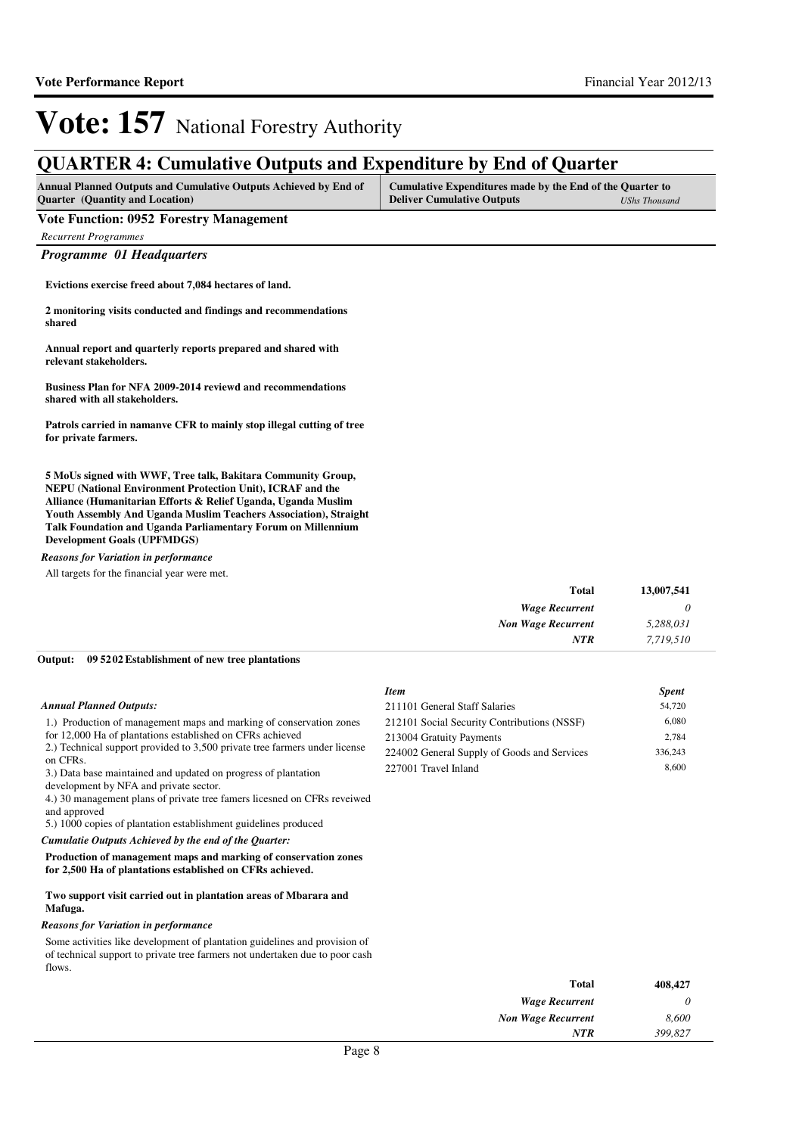### **QUARTER 4: Cumulative Outputs and Expenditure by End of Quarter**

| Annual Planned Outputs and Cumulative Outputs Achieved by End of | Cumulative Expenditures made by the End of the Quarter to |               |
|------------------------------------------------------------------|-----------------------------------------------------------|---------------|
| <b>Quarter</b> (Quantity and Location)                           | <b>Deliver Cumulative Outputs</b>                         | UShs Thousand |

#### **Vote Function: 0952 Forestry Management**

*Recurrent Programmes*

*Programme 01 Headquarters*

**Evictions exercise freed about 7,084 hectares of land.**

**2 monitoring visits conducted and findings and recommendations shared**

**Annual report and quarterly reports prepared and shared with relevant stakeholders.**

**Business Plan for NFA 2009-2014 reviewd and recommendations shared with all stakeholders.**

**Patrols carried in namanve CFR to mainly stop illegal cutting of tree for private farmers.**

**5 MoUs signed with WWF, Tree talk, Bakitara Community Group, NEPU (National Environment Protection Unit), ICRAF and the Alliance (Humanitarian Efforts & Relief Uganda, Uganda Muslim Youth Assembly And Uganda Muslim Teachers Association), Straight Talk Foundation and Uganda Parliamentary Forum on Millennium Development Goals (UPFMDGS)**

#### *Reasons for Variation in performance*

All targets for the financial year were met.

| 13,007,541<br><b>Total</b> |                           |
|----------------------------|---------------------------|
| <b>Wage Recurrent</b>      |                           |
| 5,288,031                  | <b>Non Wage Recurrent</b> |
| <b>NTR</b><br>7,719,510    |                           |

#### **09 5202 Establishment of new tree plantations Output:**

|                                                                                                                                                                                                                                                                                                                                                                                                                                                                               | <b>Item</b>                                 | <b>Spent</b> |
|-------------------------------------------------------------------------------------------------------------------------------------------------------------------------------------------------------------------------------------------------------------------------------------------------------------------------------------------------------------------------------------------------------------------------------------------------------------------------------|---------------------------------------------|--------------|
| <b>Annual Planned Outputs:</b>                                                                                                                                                                                                                                                                                                                                                                                                                                                | 211101 General Staff Salaries               | 54,720       |
| 1.) Production of management maps and marking of conservation zones                                                                                                                                                                                                                                                                                                                                                                                                           | 212101 Social Security Contributions (NSSF) | 6,080        |
| for 12,000 Ha of plantations established on CFRs achieved                                                                                                                                                                                                                                                                                                                                                                                                                     | 213004 Gratuity Payments                    | 2,784        |
| 2.) Technical support provided to 3,500 private tree farmers under license                                                                                                                                                                                                                                                                                                                                                                                                    | 224002 General Supply of Goods and Services | 336,243      |
| on CFRs.<br>3.) Data base maintained and updated on progress of plantation<br>development by NFA and private sector.<br>4.) 30 management plans of private tree famers lices ned on CFRs reverved<br>and approved<br>5.) 1000 copies of plantation establishment guidelines produced<br>Cumulatie Outputs Achieved by the end of the Quarter:<br>Production of management maps and marking of conservation zones<br>for 2,500 Ha of plantations established on CFRs achieved. | 227001 Travel Inland                        | 8,600        |
| Two support visit carried out in plantation areas of Mbarara and<br>Mafuga.                                                                                                                                                                                                                                                                                                                                                                                                   |                                             |              |
| <b>Reasons for Variation in performance</b>                                                                                                                                                                                                                                                                                                                                                                                                                                   |                                             |              |
| Some activities like development of plantation guidelines and provision of<br>of technical support to private tree farmers not undertaken due to poor cash<br>flows.                                                                                                                                                                                                                                                                                                          |                                             |              |
|                                                                                                                                                                                                                                                                                                                                                                                                                                                                               | Total                                       | 408.427      |

*Wage Recurrent Non Wage Recurrent*

*NTR*

*0 8,600 399,827*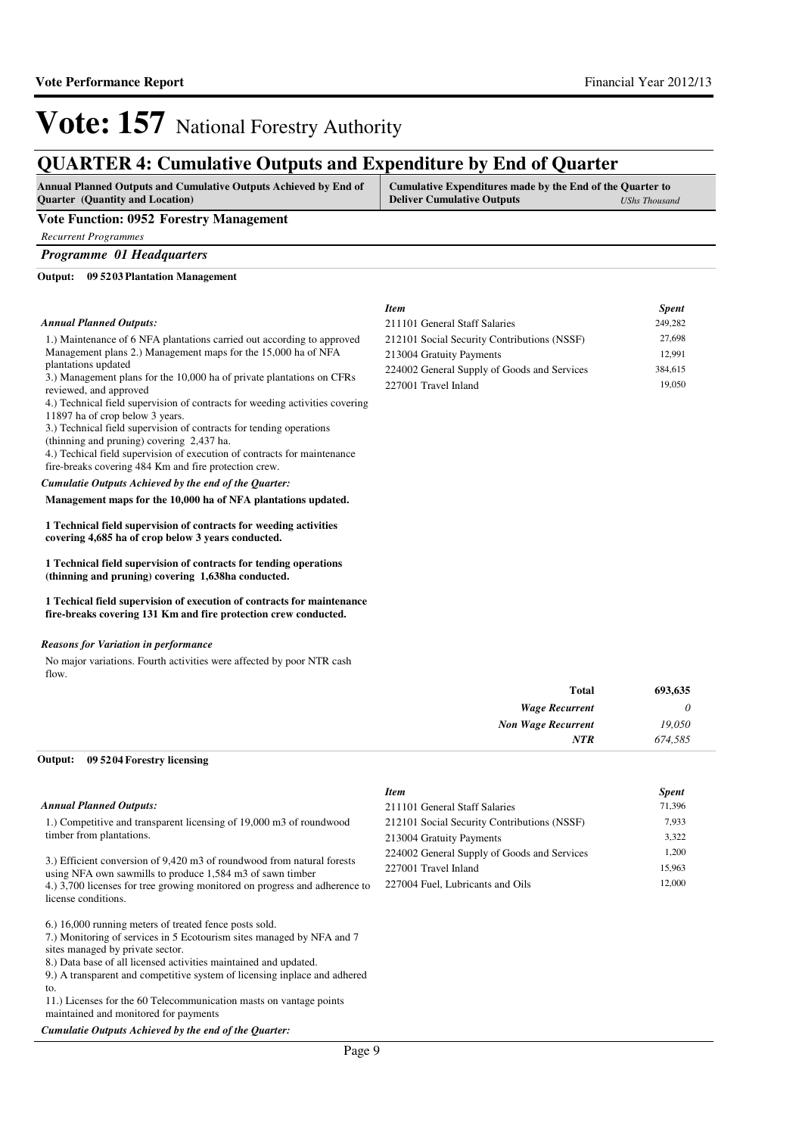### **QUARTER 4: Cumulative Outputs and Expenditure by End of Quarter**

| <b>Annual Planned Outputs and Cumulative Outputs Achieved by End of</b> | Cumulative Expenditures made by the End of the Quarter to |               |
|-------------------------------------------------------------------------|-----------------------------------------------------------|---------------|
| <b>Quarter</b> (Quantity and Location)                                  | <b>Deliver Cumulative Outputs</b>                         | UShs Thousand |

#### **Vote Function: 0952 Forestry Management**

*Recurrent Programmes*

*Programme 01 Headquarters*

**09 5203 Plantation Management Output:**

#### *Annual Planned Outputs:*

1.) Maintenance of 6 NFA plantations carried out according to approved Management plans 2.) Management maps for the 15,000 ha of NFA plantations updated

3.) Management plans for the 10,000 ha of private plantations on CFRs reviewed, and approved

4.) Technical field supervision of contracts for weeding activities covering 11897 ha of crop below 3 years.

3.) Technical field supervision of contracts for tending operations

(thinning and pruning) covering 2,437 ha.

4.) Techical field supervision of execution of contracts for maintenance fire-breaks covering 484 Km and fire protection crew.

#### *Cumulatie Outputs Achieved by the end of the Quarter:*

#### **Management maps for the 10,000 ha of NFA plantations updated.**

**1 Technical field supervision of contracts for weeding activities covering 4,685 ha of crop below 3 years conducted.**

**1 Technical field supervision of contracts for tending operations (thinning and pruning) covering 1,638ha conducted.**

**1 Techical field supervision of execution of contracts for maintenance fire-breaks covering 131 Km and fire protection crew conducted.**

#### *Reasons for Variation in performance*

No major variations. Fourth activities were affected by poor NTR cash flow.

| 693,635 | <b>Total</b>              |
|---------|---------------------------|
| 0       | <b>Wage Recurrent</b>     |
| 19,050  | <b>Non Wage Recurrent</b> |
| 674,585 | <b>NTR</b>                |

#### **09 5204 Forestry licensing Output:**

#### *Annual Planned Outputs:*

1.) Competitive and transparent licensing of 19,000 m3 of roundwood timber from plantations.

3.) Efficient conversion of 9,420 m3 of roundwood from natural forests using NFA own sawmills to produce 1,584 m3 of sawn timber 4.) 3,700 licenses for tree growing monitored on progress and adherence to license conditions.

6.) 16,000 running meters of treated fence posts sold.

7.) Monitoring of services in 5 Ecotourism sites managed by NFA and 7

sites managed by private sector.

8.) Data base of all licensed activities maintained and updated.

9.) A transparent and competitive system of licensing inplace and adhered to.

11.) Licenses for the 60 Telecommunication masts on vantage points maintained and monitored for payments

*Cumulatie Outputs Achieved by the end of the Quarter:*

| Item                                        | <b>Spent</b> |
|---------------------------------------------|--------------|
| 211101 General Staff Salaries               | 71.396       |
| 212101 Social Security Contributions (NSSF) | 7,933        |
| 213004 Gratuity Payments                    | 3,322        |
| 224002 General Supply of Goods and Services | 1.200        |

227001 Travel Inland 15,963 227004 Fuel, Lubricants and Oils 12,000

| Item                                        | <b>Spent</b> |
|---------------------------------------------|--------------|
| 211101 General Staff Salaries               | 249,282      |
| 212101 Social Security Contributions (NSSF) | 27,698       |
| 213004 Gratuity Payments                    | 12.991       |
| 224002 General Supply of Goods and Services | 384,615      |
| 227001 Travel Inland                        | 19,050       |
|                                             |              |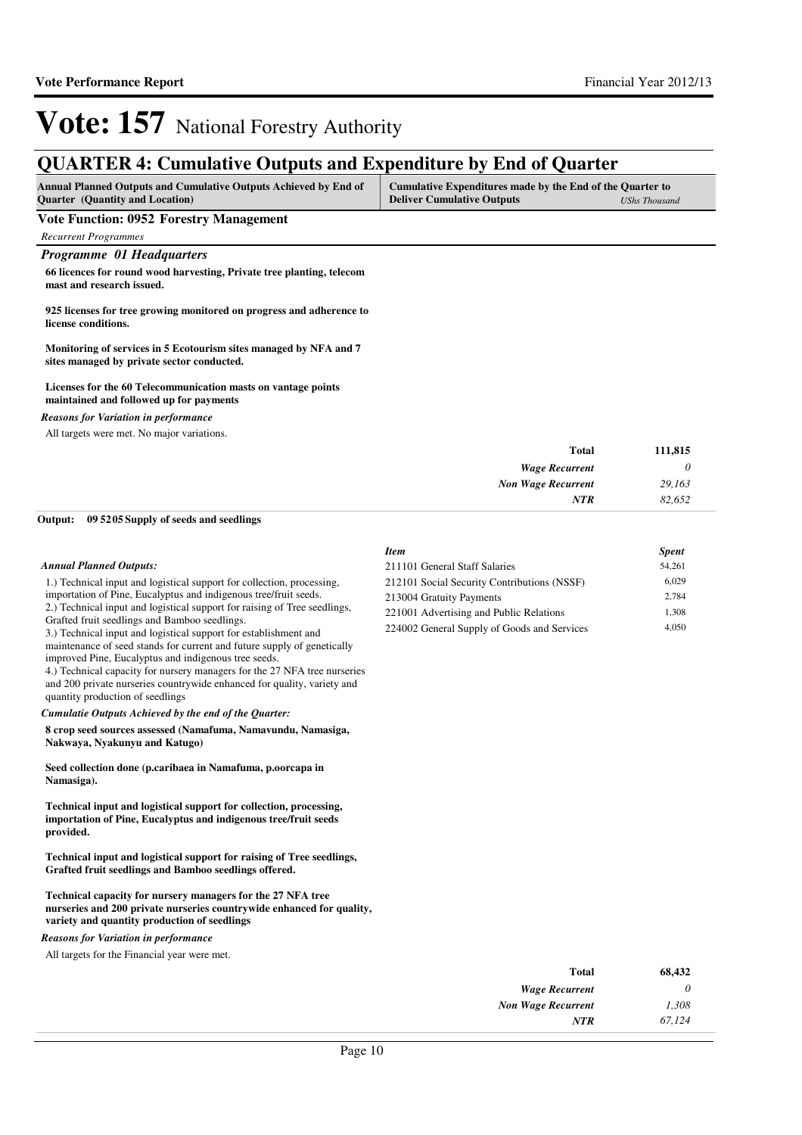### **QUARTER 4: Cumulative Outputs and Expenditure by End of Quarter**

| <b>Annual Planned Outputs and Cumulative Outputs Achieved by End of</b> | Cumulative Expenditures made by the End of the Quarter to |               |
|-------------------------------------------------------------------------|-----------------------------------------------------------|---------------|
| <b>Ouarter</b> (Quantity and Location)                                  | <b>Deliver Cumulative Outputs</b>                         | UShs Thousand |

**Vote Function: 0952 Forestry Management**

*Recurrent Programmes*

#### *Programme 01 Headquarters*

**66 licences for round wood harvesting, Private tree planting, telecom mast and research issued.**

**925 licenses for tree growing monitored on progress and adherence to license conditions.**

**Monitoring of services in 5 Ecotourism sites managed by NFA and 7 sites managed by private sector conducted.**

#### **Licenses for the 60 Telecommunication masts on vantage points maintained and followed up for payments**

*Reasons for Variation in performance*

All targets were met. No major variations.

| Total                     |
|---------------------------|
| <b>Wage Recurrent</b>     |
| <b>Non Wage Recurrent</b> |
| <b>NTR</b>                |
|                           |

#### **09 5205 Supply of seeds and seedlings Output:**

|                                                                                                                                                                                                                                                                                                                                                                                                                                                                                                                                                                                                                                                                             | <b>Item</b>                                                                                                                                                       | <b>Spent</b>                     |
|-----------------------------------------------------------------------------------------------------------------------------------------------------------------------------------------------------------------------------------------------------------------------------------------------------------------------------------------------------------------------------------------------------------------------------------------------------------------------------------------------------------------------------------------------------------------------------------------------------------------------------------------------------------------------------|-------------------------------------------------------------------------------------------------------------------------------------------------------------------|----------------------------------|
| <b>Annual Planned Outputs:</b>                                                                                                                                                                                                                                                                                                                                                                                                                                                                                                                                                                                                                                              | 211101 General Staff Salaries                                                                                                                                     | 54,261                           |
| 1.) Technical input and logistical support for collection, processing,<br>importation of Pine, Eucalyptus and indigenous tree/fruit seeds.<br>2.) Technical input and logistical support for raising of Tree seedlings,<br>Grafted fruit seedlings and Bamboo seedlings.<br>3.) Technical input and logistical support for establishment and<br>maintenance of seed stands for current and future supply of genetically<br>improved Pine, Eucalyptus and indigenous tree seeds.<br>4.) Technical capacity for nursery managers for the 27 NFA tree nurseries<br>and 200 private nurseries countrywide enhanced for quality, variety and<br>quantity production of seedlings | 212101 Social Security Contributions (NSSF)<br>213004 Gratuity Payments<br>221001 Advertising and Public Relations<br>224002 General Supply of Goods and Services | 6,029<br>2,784<br>1,308<br>4,050 |
| Cumulatie Outputs Achieved by the end of the Quarter:                                                                                                                                                                                                                                                                                                                                                                                                                                                                                                                                                                                                                       |                                                                                                                                                                   |                                  |
| 8 crop seed sources assessed (Namafuma, Namavundu, Namasiga,<br>Nakwaya, Nyakunyu and Katugo)                                                                                                                                                                                                                                                                                                                                                                                                                                                                                                                                                                               |                                                                                                                                                                   |                                  |
| Seed collection done (p.caribaea in Namafuma, p.oorcapa in<br>Namasiga).                                                                                                                                                                                                                                                                                                                                                                                                                                                                                                                                                                                                    |                                                                                                                                                                   |                                  |
| Technical input and logistical support for collection, processing,<br>importation of Pine, Eucalyptus and indigenous tree/fruit seeds<br>provided.                                                                                                                                                                                                                                                                                                                                                                                                                                                                                                                          |                                                                                                                                                                   |                                  |

**Technical input and logistical support for raising of Tree seedlings, Grafted fruit seedlings and Bamboo seedlings offered.**

**Technical capacity for nursery managers for the 27 NFA tree nurseries and 200 private nurseries countrywide enhanced for quality, variety and quantity production of seedlings**

*Reasons for Variation in performance*

All targets for the Financial year were met.

| Total                     | 68,432 |
|---------------------------|--------|
| <b>Wage Recurrent</b>     | 0      |
| <b>Non Wage Recurrent</b> | 1.308  |
| NTR                       | 67.124 |
|                           |        |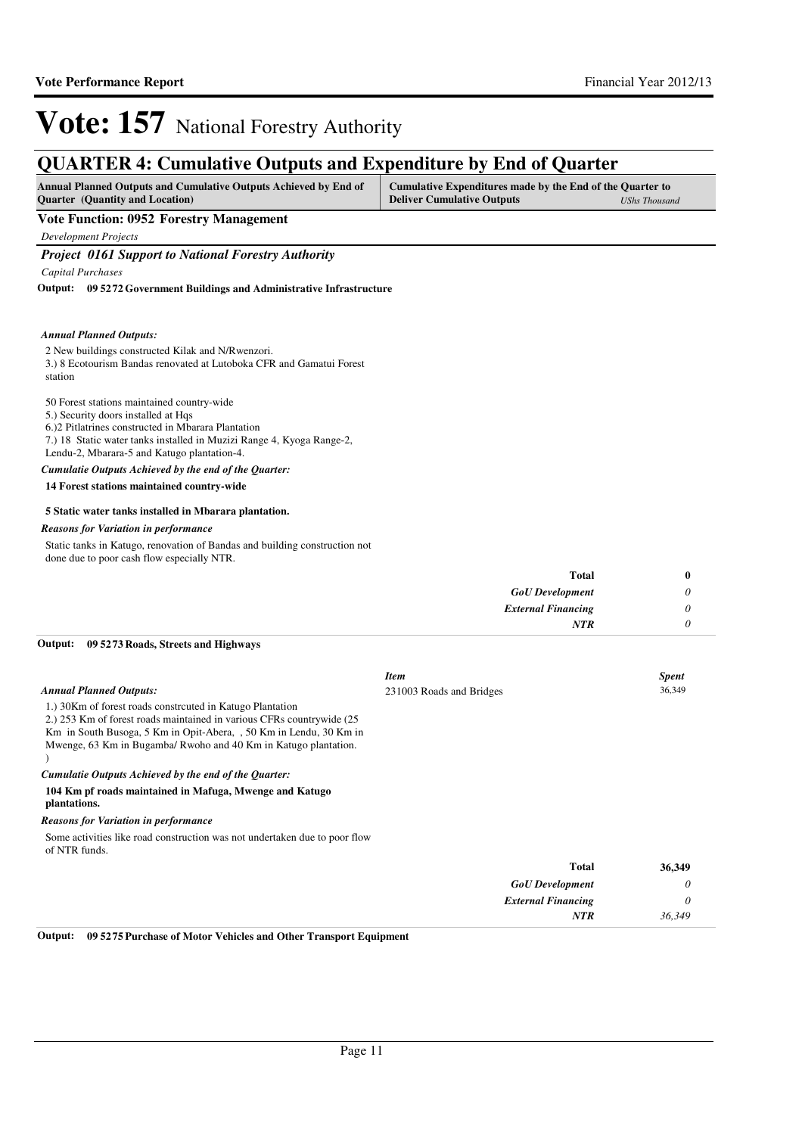### **QUARTER 4: Cumulative Outputs and Expenditure by End of Quarter**

| <b>Annual Planned Outputs and Cumulative Outputs Achieved by End of</b> | Cumulative Expenditures made by the End of the Quarter to |                      |
|-------------------------------------------------------------------------|-----------------------------------------------------------|----------------------|
| <b>Ouarter</b> (Quantity and Location)                                  | <b>Deliver Cumulative Outputs</b>                         | <b>UShs Thousand</b> |

#### **Vote Function: 0952 Forestry Management**

*Development Projects*

#### *Project 0161 Support to National Forestry Authority*

*Capital Purchases*

**09 5272 Government Buildings and Administrative Infrastructure Output:**

#### *Annual Planned Outputs:*

2 New buildings constructed Kilak and N/Rwenzori.

3.) 8 Ecotourism Bandas renovated at Lutoboka CFR and Gamatui Forest station

#### 50 Forest stations maintained country-wide

- 5.) Security doors installed at Hqs
- 6.)2 Pitlatrines constructed in Mbarara Plantation
- 7.) 18 Static water tanks installed in Muzizi Range 4, Kyoga Range-2,

Lendu-2, Mbarara-5 and Katugo plantation-4.

#### *Cumulatie Outputs Achieved by the end of the Quarter:*

**14 Forest stations maintained country-wide**

#### **5 Static water tanks installed in Mbarara plantation.**

#### *Reasons for Variation in performance*

Static tanks in Katugo, renovation of Bandas and building construction not done due to poor cash flow especially NTR.

| Total                     | 0 |
|---------------------------|---|
| <b>GoU</b> Development    | υ |
| <b>External Financing</b> |   |
| <b>NTR</b>                |   |

#### **09 5273 Roads, Streets and Highways Output:**

| <b>Annual Planned Outputs:</b><br>1.) 30Km of forest roads constrcuted in Katugo Plantation<br>2.) 253 Km of forest roads maintained in various CFRs countrywide (25)<br>Km in South Busoga, 5 Km in Opit-Abera, , 50 Km in Lendu, 30 Km in<br>Mwenge, 63 Km in Bugamba/ Rwoho and 40 Km in Katugo plantation.<br>Cumulatie Outputs Achieved by the end of the Quarter:<br>104 Km pf roads maintained in Mafuga, Mwenge and Katugo<br>plantations. | <b>Item</b><br>231003 Roads and Bridges |                           | <b>Spent</b><br>36,349 |
|----------------------------------------------------------------------------------------------------------------------------------------------------------------------------------------------------------------------------------------------------------------------------------------------------------------------------------------------------------------------------------------------------------------------------------------------------|-----------------------------------------|---------------------------|------------------------|
| <b>Reasons for Variation in performance</b>                                                                                                                                                                                                                                                                                                                                                                                                        |                                         |                           |                        |
| Some activities like road construction was not undertaken due to poor flow<br>of NTR funds.                                                                                                                                                                                                                                                                                                                                                        |                                         |                           |                        |
|                                                                                                                                                                                                                                                                                                                                                                                                                                                    |                                         | Total                     | 36,349                 |
|                                                                                                                                                                                                                                                                                                                                                                                                                                                    |                                         | <b>GoU</b> Development    | 0                      |
|                                                                                                                                                                                                                                                                                                                                                                                                                                                    |                                         | <b>External Financing</b> | 0                      |
|                                                                                                                                                                                                                                                                                                                                                                                                                                                    |                                         | <b>NTR</b>                | 36,349                 |

**Output: 09 5275 Purchase of Motor Vehicles and Other Transport Equipment**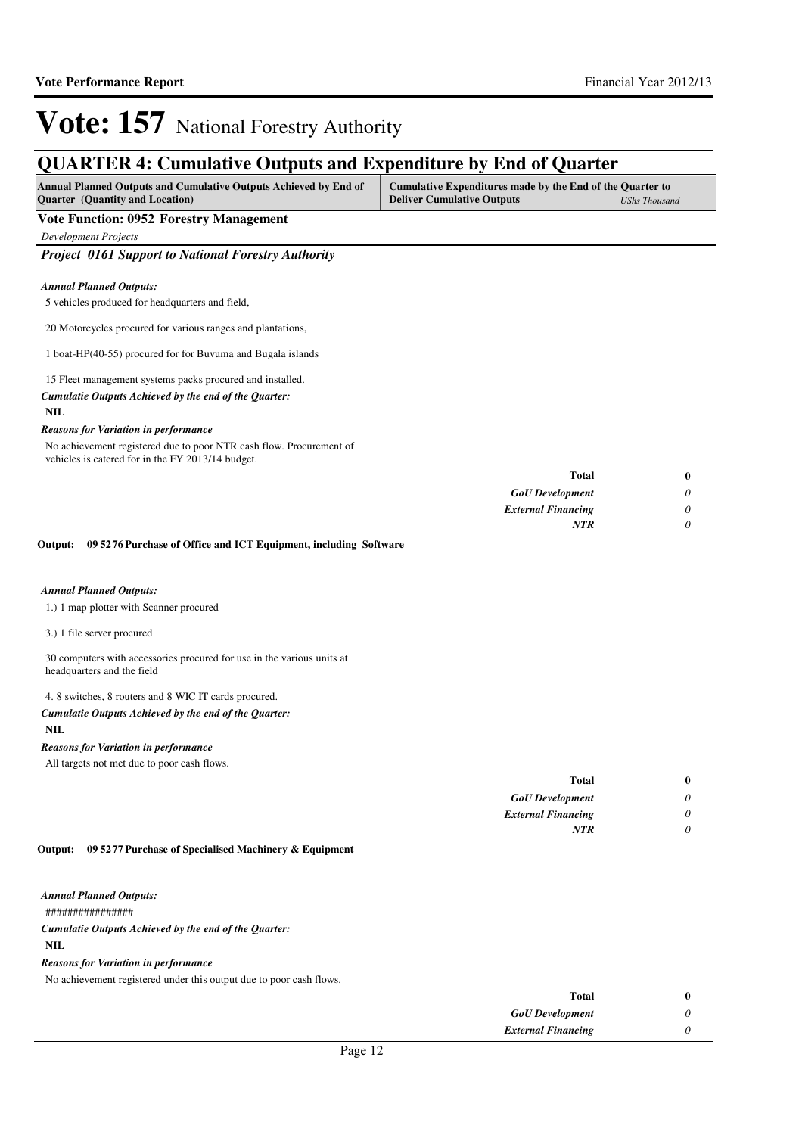### **QUARTER 4: Cumulative Outputs and Expenditure by End of Quarter**

| Annual Planned Outputs and Cumulative Outputs Achieved by End of | Cumulative Expenditures made by the End of the Quarter to |                      |
|------------------------------------------------------------------|-----------------------------------------------------------|----------------------|
| <b>Quarter</b> (Quantity and Location)                           | <b>Deliver Cumulative Outputs</b>                         | <b>UShs Thousand</b> |

#### **Vote Function: 0952 Forestry Management**

*Development Projects*

*Project 0161 Support to National Forestry Authority*

#### *Annual Planned Outputs:*

5 vehicles produced for headquarters and field,

20 Motorcycles procured for various ranges and plantations,

1 boat-HP(40-55) procured for for Buvuma and Bugala islands

#### 15 Fleet management systems packs procured and installed.

*Cumulatie Outputs Achieved by the end of the Quarter:*

#### **NIL**

#### *Reasons for Variation in performance*

No achievement registered due to poor NTR cash flow. Procurement of vehicles is catered for in the FY 2013/14 budget.

| 0 | Total                     |
|---|---------------------------|
| U | <b>GoU</b> Development    |
| U | <b>External Financing</b> |
|   | <b>NTR</b>                |
|   |                           |

#### **09 5276 Purchase of Office and ICT Equipment, including Software Output:**

#### *Annual Planned Outputs:*

1.) 1 map plotter with Scanner procured

3.) 1 file server procured

#### 30 computers with accessories procured for use in the various units at headquarters and the field

4. 8 switches, 8 routers and 8 WIC IT cards procured.

#### *Cumulatie Outputs Achieved by the end of the Quarter:*

#### **NIL**

#### *Reasons for Variation in performance*

All targets not met due to poor cash flows.

| <b>Total</b>              |          |
|---------------------------|----------|
| <b>GoU</b> Development    | $\theta$ |
| <b>External Financing</b> | $\theta$ |
| <b>NTR</b>                | 0        |

#### **09 5277 Purchase of Specialised Machinery & Equipment Output:**

################ **NIL** *Cumulatie Outputs Achieved by the end of the Quarter: Annual Planned Outputs:*

#### *Reasons for Variation in performance*

No achievement registered under this output due to poor cash flows.

| <b>Total</b>              |  |
|---------------------------|--|
| <b>GoU</b> Development    |  |
| <b>External Financing</b> |  |
|                           |  |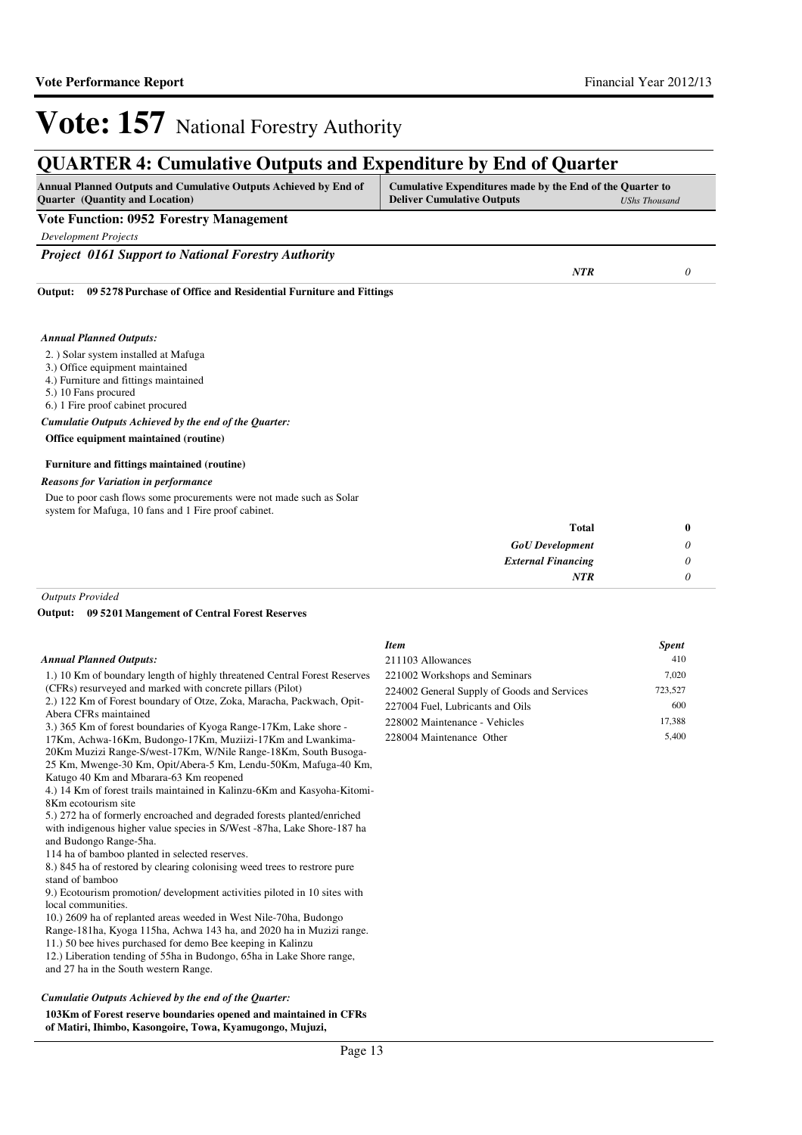*NTR 0*

## **Vote: 157** National Forestry Authority

### **QUARTER 4: Cumulative Outputs and Expenditure by End of Quarter**

| <b>Annual Planned Outputs and Cumulative Outputs Achieved by End of</b> | Cumulative Expenditures made by the End of the Quarter to |                      |
|-------------------------------------------------------------------------|-----------------------------------------------------------|----------------------|
| <b>Ouarter</b> (Quantity and Location)                                  | <b>Deliver Cumulative Outputs</b>                         | <b>UShs Thousand</b> |

**Vote Function: 0952 Forestry Management**

*Development Projects*

*Project 0161 Support to National Forestry Authority*

**09 5278 Purchase of Office and Residential Furniture and Fittings Output:**

#### *Annual Planned Outputs:*

#### 2. ) Solar system installed at Mafuga

3.) Office equipment maintained

4.) Furniture and fittings maintained

5.) 10 Fans procured

6.) 1 Fire proof cabinet procured

*Cumulatie Outputs Achieved by the end of the Quarter:*

**Office equipment maintained (routine)**

#### **Furniture and fittings maintained (routine)**

#### *Reasons for Variation in performance*

Due to poor cash flows some procurements were not made such as Solar system for Mafuga, 10 fans and 1 Fire proof cabinet.

| <b>Total</b>              | 0 |
|---------------------------|---|
| <b>GoU</b> Development    |   |
| <b>External Financing</b> |   |
| <b>NTR</b>                |   |

*Outputs Provided*

**09 5201 Mangement of Central Forest Reserves Output:**

#### *Annual Planned Outputs:*

1.) 10 Km of boundary length of highly threatened Central Forest Reserves

(CFRs) resurveyed and marked with concrete pillars (Pilot) 2.) 122 Km of Forest boundary of Otze, Zoka, Maracha, Packwach, Opit-

Abera CFRs maintained

3.) 365 Km of forest boundaries of Kyoga Range-17Km, Lake shore -

17Km, Achwa-16Km, Budongo-17Km, Muziizi-17Km and Lwankima-20Km Muzizi Range-S/west-17Km, W/Nile Range-18Km, South Busoga-

25 Km, Mwenge-30 Km, Opit/Abera-5 Km, Lendu-50Km, Mafuga-40 Km, Katugo 40 Km and Mbarara-63 Km reopened

4.) 14 Km of forest trails maintained in Kalinzu-6Km and Kasyoha-Kitomi-8Km ecotourism site

5.) 272 ha of formerly encroached and degraded forests planted/enriched with indigenous higher value species in S/West -87ha, Lake Shore-187 ha and Budongo Range-5ha.

114 ha of bamboo planted in selected reserves.

8.) 845 ha of restored by clearing colonising weed trees to restrore pure stand of bamboo

9.) Ecotourism promotion/ development activities piloted in 10 sites with local communities.

10.) 2609 ha of replanted areas weeded in West Nile-70ha, Budongo

Range-181ha, Kyoga 115ha, Achwa 143 ha, and 2020 ha in Muzizi range. 11.) 50 bee hives purchased for demo Bee keeping in Kalinzu

12.) Liberation tending of 55ha in Budongo, 65ha in Lake Shore range, and 27 ha in the South western Range.

#### *Cumulatie Outputs Achieved by the end of the Quarter:*

**103Km of Forest reserve boundaries opened and maintained in CFRs of Matiri, Ihimbo, Kasongoire, Towa, Kyamugongo, Mujuzi,** 

| Item                                        | <b>Spent</b> |
|---------------------------------------------|--------------|
| 211103 Allowances                           | 410          |
| 221002 Workshops and Seminars               | 7.020        |
| 224002 General Supply of Goods and Services | 723,527      |
| 227004 Fuel, Lubricants and Oils            | 600          |
| 228002 Maintenance - Vehicles               | 17.388       |
| 228004 Maintenance Other                    | 5.400        |

Page 13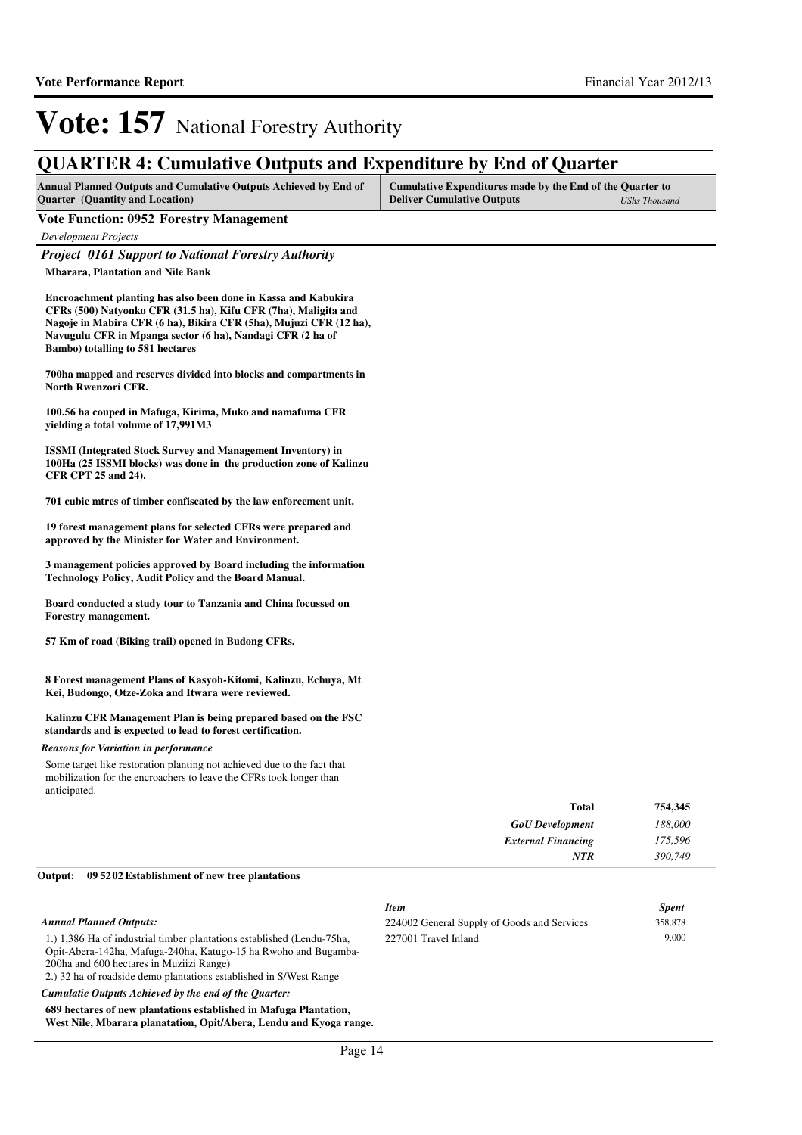### **QUARTER 4: Cumulative Outputs and Expenditure by End of Quarter**

| <b>Annual Planned Outputs and Cumulative Outputs Achieved by End of</b> | Cumulative Expenditures made by the End of the Quarter to |               |
|-------------------------------------------------------------------------|-----------------------------------------------------------|---------------|
| <b>Quarter</b> (Quantity and Location)                                  | <b>Deliver Cumulative Outputs</b>                         | UShs Thousand |

#### **Vote Function: 0952 Forestry Management**

*Development Projects*

#### *Project 0161 Support to National Forestry Authority*

**Mbarara, Plantation and Nile Bank** 

**Encroachment planting has also been done in Kassa and Kabukira CFRs (500) Natyonko CFR (31.5 ha), Kifu CFR (7ha), Maligita and Nagoje in Mabira CFR (6 ha), Bikira CFR (5ha), Mujuzi CFR (12 ha), Navugulu CFR in Mpanga sector (6 ha), Nandagi CFR (2 ha of Bambo) totalling to 581 hectares**

**700ha mapped and reserves divided into blocks and compartments in North Rwenzori CFR.**

**100.56 ha couped in Mafuga, Kirima, Muko and namafuma CFR yielding a total volume of 17,991M3**

**ISSMI (Integrated Stock Survey and Management Inventory) in 100Ha (25 ISSMI blocks) was done in the production zone of Kalinzu CFR CPT 25 and 24).**

**701 cubic mtres of timber confiscated by the law enforcement unit.**

**19 forest management plans for selected CFRs were prepared and approved by the Minister for Water and Environment.**

**3 management policies approved by Board including the information Technology Policy, Audit Policy and the Board Manual.**

**Board conducted a study tour to Tanzania and China focussed on Forestry management.**

**57 Km of road (Biking trail) opened in Budong CFRs.**

**8 Forest management Plans of Kasyoh-Kitomi, Kalinzu, Echuya, Mt Kei, Budongo, Otze-Zoka and Itwara were reviewed.**

#### **Kalinzu CFR Management Plan is being prepared based on the FSC standards and is expected to lead to forest certification.**

*Reasons for Variation in performance*

Some target like restoration planting not achieved due to the fact that mobilization for the encroachers to leave the CFRs took longer than anticipated.

| 754,345 | <b>Total</b>              |
|---------|---------------------------|
| 188,000 | <b>GoU</b> Development    |
| 175,596 | <b>External Financing</b> |
| 390,749 | <b>NTR</b>                |
|         |                           |

#### **09 5202 Establishment of new tree plantations Output:**

| <b>Item</b>                                 | <b>Spent</b> |
|---------------------------------------------|--------------|
| 224002 General Supply of Goods and Services | 358,878      |
| 227001 Travel Inland                        | 9.000        |

1.) 1,386 Ha of industrial timber plantations established (Lendu-75ha, Opit-Abera-142ha, Mafuga-240ha, Katugo-15 ha Rwoho and Bugamba-200ha and 600 hectares in Muziizi Range) 2.) 32 ha of roadside demo plantations established in S/West Range

*Cumulatie Outputs Achieved by the end of the Quarter:*

**689 hectares of new plantations established in Mafuga Plantation, West Nile, Mbarara planatation, Opit/Abera, Lendu and Kyoga range.**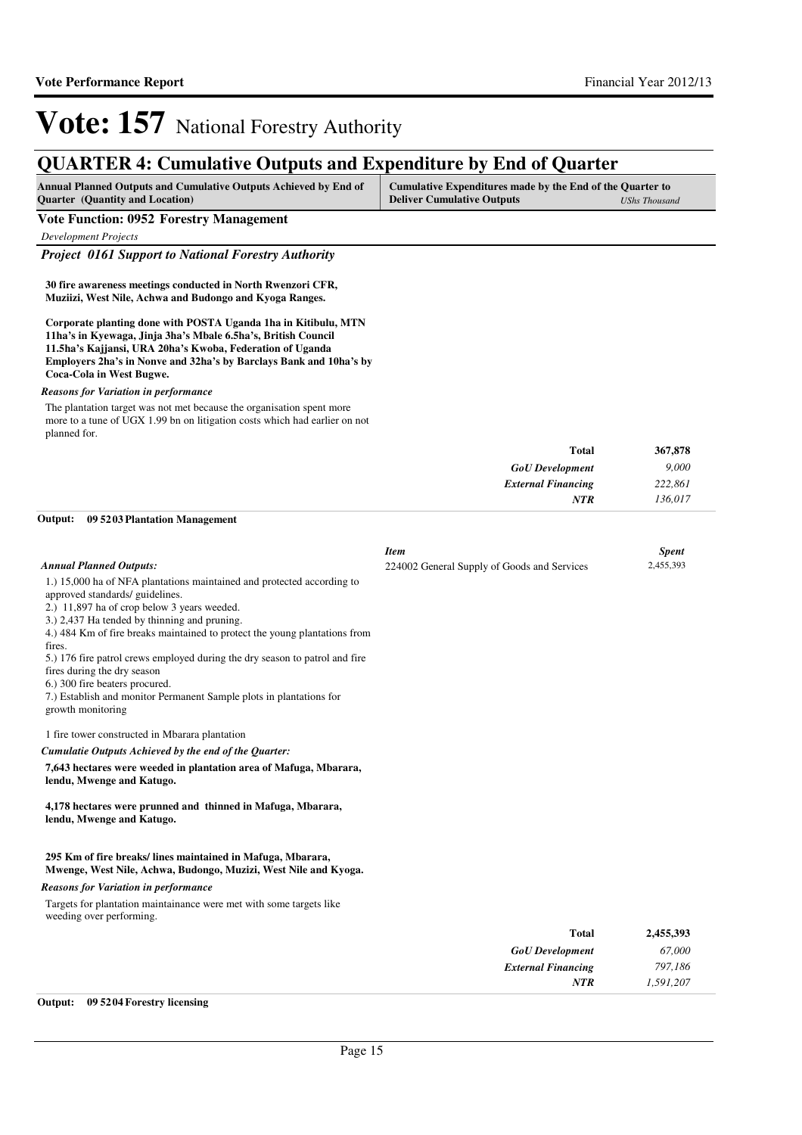### **QUARTER 4: Cumulative Outputs and Expenditure by End of Quarter**

| <b>Annual Planned Outputs and Cumulative Outputs Achieved by End of</b> | Cumulative Expenditures made by the End of the Quarter to |               |
|-------------------------------------------------------------------------|-----------------------------------------------------------|---------------|
| <b>Ouarter</b> (Quantity and Location)                                  | <b>Deliver Cumulative Outputs</b>                         | UShs Thousand |

#### **Vote Function: 0952 Forestry Management**

*Development Projects*

#### *Project 0161 Support to National Forestry Authority*

**30 fire awareness meetings conducted in North Rwenzori CFR, Muziizi, West Nile, Achwa and Budongo and Kyoga Ranges.**

**Corporate planting done with POSTA Uganda 1ha in Kitibulu, MTN 11ha's in Kyewaga, Jinja 3ha's Mbale 6.5ha's, British Council 11.5ha's Kajjansi, URA 20ha's Kwoba, Federation of Uganda Employers 2ha's in Nonve and 32ha's by Barclays Bank and 10ha's by Coca-Cola in West Bugwe.**

#### *Reasons for Variation in performance*

The plantation target was not met because the organisation spent more more to a tune of UGX 1.99 bn on litigation costs which had earlier on not planned for.

| <b>Total</b>              | 367,878 |
|---------------------------|---------|
| <b>GoU</b> Development    | 9,000   |
| <b>External Financing</b> | 222,861 |
| <b>NTR</b>                | 136,017 |

#### **09 5203 Plantation Management Output:**

|                                                                                                                                                                                                                                                                                                                                                                                                                                                                                                                                              | <b>Item</b>                                 |              | <b>Spent</b> |
|----------------------------------------------------------------------------------------------------------------------------------------------------------------------------------------------------------------------------------------------------------------------------------------------------------------------------------------------------------------------------------------------------------------------------------------------------------------------------------------------------------------------------------------------|---------------------------------------------|--------------|--------------|
| <b>Annual Planned Outputs:</b>                                                                                                                                                                                                                                                                                                                                                                                                                                                                                                               | 224002 General Supply of Goods and Services |              | 2,455,393    |
| 1.) 15,000 ha of NFA plantations maintained and protected according to<br>approved standards/ guidelines.<br>2.) 11,897 ha of crop below 3 years weeded.<br>3.) 2,437 Ha tended by thinning and pruning.<br>4.) 484 Km of fire breaks maintained to protect the young plantations from<br>fires.<br>5.) 176 fire patrol crews employed during the dry season to patrol and fire<br>fires during the dry season<br>6.) 300 fire beaters procured.<br>7.) Establish and monitor Permanent Sample plots in plantations for<br>growth monitoring |                                             |              |              |
| 1 fire tower constructed in Mbarara plantation                                                                                                                                                                                                                                                                                                                                                                                                                                                                                               |                                             |              |              |
| Cumulatie Outputs Achieved by the end of the Ouarter:                                                                                                                                                                                                                                                                                                                                                                                                                                                                                        |                                             |              |              |
| 7,643 hectares were weeded in plantation area of Mafuga, Mbarara,<br>lendu, Mwenge and Katugo.                                                                                                                                                                                                                                                                                                                                                                                                                                               |                                             |              |              |
| 4,178 hectares were prunned and thinned in Mafuga, Mbarara,<br>lendu, Mwenge and Katugo.                                                                                                                                                                                                                                                                                                                                                                                                                                                     |                                             |              |              |
| 295 Km of fire breaks/lines maintained in Mafuga, Mbarara,<br>Mwenge, West Nile, Achwa, Budongo, Muzizi, West Nile and Kyoga.                                                                                                                                                                                                                                                                                                                                                                                                                |                                             |              |              |
| <b>Reasons for Variation in performance</b>                                                                                                                                                                                                                                                                                                                                                                                                                                                                                                  |                                             |              |              |
| Targets for plantation maintainance were met with some targets like<br>weeding over performing.                                                                                                                                                                                                                                                                                                                                                                                                                                              |                                             |              |              |
|                                                                                                                                                                                                                                                                                                                                                                                                                                                                                                                                              |                                             | <b>Total</b> | 2.455,393    |

#### **Output: 09 5204 Forestry licensing**

*GoU Development External Financing*

*NTR*

*67,000 797,186 1,591,207*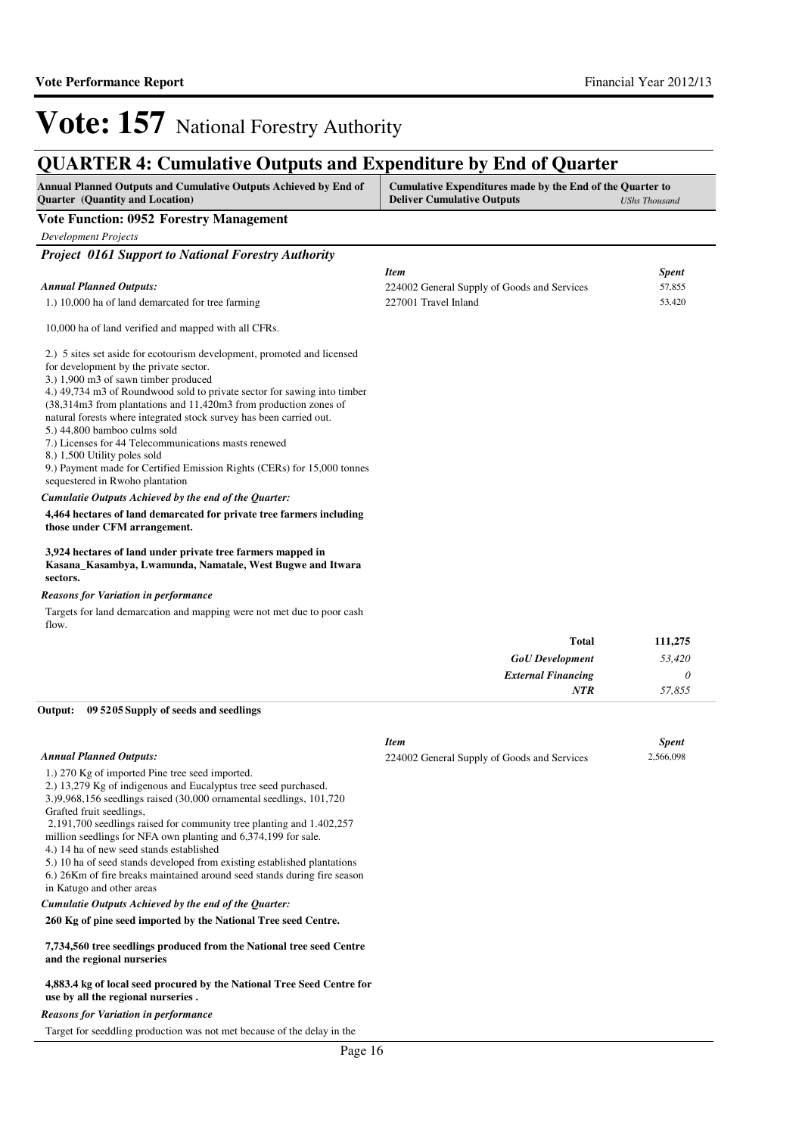### **QUARTER 4: Cumulative Outputs and Expenditure by End of Quarter**

| Annual Planned Outputs and Cumulative Outputs Achieved by End of<br><b>Quarter</b> (Quantity and Location)                            | Cumulative Expenditures made by the End of the Quarter to<br><b>Deliver Cumulative Outputs</b> | <b>UShs Thousand</b> |
|---------------------------------------------------------------------------------------------------------------------------------------|------------------------------------------------------------------------------------------------|----------------------|
| <b>Vote Function: 0952 Forestry Management</b>                                                                                        |                                                                                                |                      |
| <b>Development Projects</b>                                                                                                           |                                                                                                |                      |
| Project 0161 Support to National Forestry Authority                                                                                   |                                                                                                |                      |
|                                                                                                                                       | <b>Item</b>                                                                                    | <b>Spent</b>         |
| <b>Annual Planned Outputs:</b>                                                                                                        | 224002 General Supply of Goods and Services                                                    | 57,855               |
| 1.) 10,000 ha of land demarcated for tree farming                                                                                     | 227001 Travel Inland                                                                           | 53,420               |
| 10,000 ha of land verified and mapped with all CFRs.                                                                                  |                                                                                                |                      |
| 2.) 5 sites set aside for ecotourism development, promoted and licensed<br>for development by the private sector.                     |                                                                                                |                      |
| 3.) 1,900 m3 of sawn timber produced                                                                                                  |                                                                                                |                      |
| 4.) 49,734 m3 of Roundwood sold to private sector for sawing into timber                                                              |                                                                                                |                      |
| (38,314m3 from plantations and 11,420m3 from production zones of                                                                      |                                                                                                |                      |
| natural forests where integrated stock survey has been carried out.                                                                   |                                                                                                |                      |
| 5.) 44,800 bamboo culms sold                                                                                                          |                                                                                                |                      |
| 7.) Licenses for 44 Telecommunications masts renewed<br>8.) 1,500 Utility poles sold                                                  |                                                                                                |                      |
| 9.) Payment made for Certified Emission Rights (CERs) for 15,000 tonnes                                                               |                                                                                                |                      |
| sequestered in Rwoho plantation                                                                                                       |                                                                                                |                      |
| Cumulatie Outputs Achieved by the end of the Quarter:                                                                                 |                                                                                                |                      |
| 4,464 hectares of land demarcated for private tree farmers including<br>those under CFM arrangement.                                  |                                                                                                |                      |
| 3,924 hectares of land under private tree farmers mapped in<br>Kasana_Kasambya, Lwamunda, Namatale, West Bugwe and Itwara<br>sectors. |                                                                                                |                      |
| <b>Reasons for Variation in performance</b>                                                                                           |                                                                                                |                      |
| Targets for land demarcation and mapping were not met due to poor cash<br>flow.                                                       |                                                                                                |                      |
|                                                                                                                                       | Total                                                                                          | 111,275              |
|                                                                                                                                       | <b>GoU</b> Development                                                                         | 53,420               |
|                                                                                                                                       | <b>External Financing</b>                                                                      | $\theta$             |
|                                                                                                                                       | <b>NTR</b>                                                                                     | 57,855               |
| Output:<br>09 52 05 Supply of seeds and seedlings                                                                                     |                                                                                                |                      |
|                                                                                                                                       | <b>Item</b>                                                                                    | <b>Spent</b>         |
| <b>Annual Planned Outputs:</b>                                                                                                        | 224002 General Supply of Goods and Services                                                    | 2,566,098            |
| 1.) 270 Kg of imported Pine tree seed imported.                                                                                       |                                                                                                |                      |
| 2.) 13,279 Kg of indigenous and Eucalyptus tree seed purchased.                                                                       |                                                                                                |                      |
| 3.)9,968,156 seedlings raised (30,000 ornamental seedlings, 101,720                                                                   |                                                                                                |                      |
| Grafted fruit seedlings,<br>2,191,700 seedlings raised for community tree planting and 1.402,257                                      |                                                                                                |                      |
|                                                                                                                                       |                                                                                                |                      |

million seedlings for NFA own planting and 6,374,199 for sale.

4.) 14 ha of new seed stands established

5.) 10 ha of seed stands developed from existing established plantations

6.) 26Km of fire breaks maintained around seed stands during fire season in Katugo and other areas

*Cumulatie Outputs Achieved by the end of the Quarter:*

#### **260 Kg of pine seed imported by the National Tree seed Centre.**

#### **7,734,560 tree seedlings produced from the National tree seed Centre and the regional nurseries**

#### **4,883.4 kg of local seed procured by the National Tree Seed Centre for use by all the regional nurseries .**

#### *Reasons for Variation in performance*

Target for seeddling production was not met because of the delay in the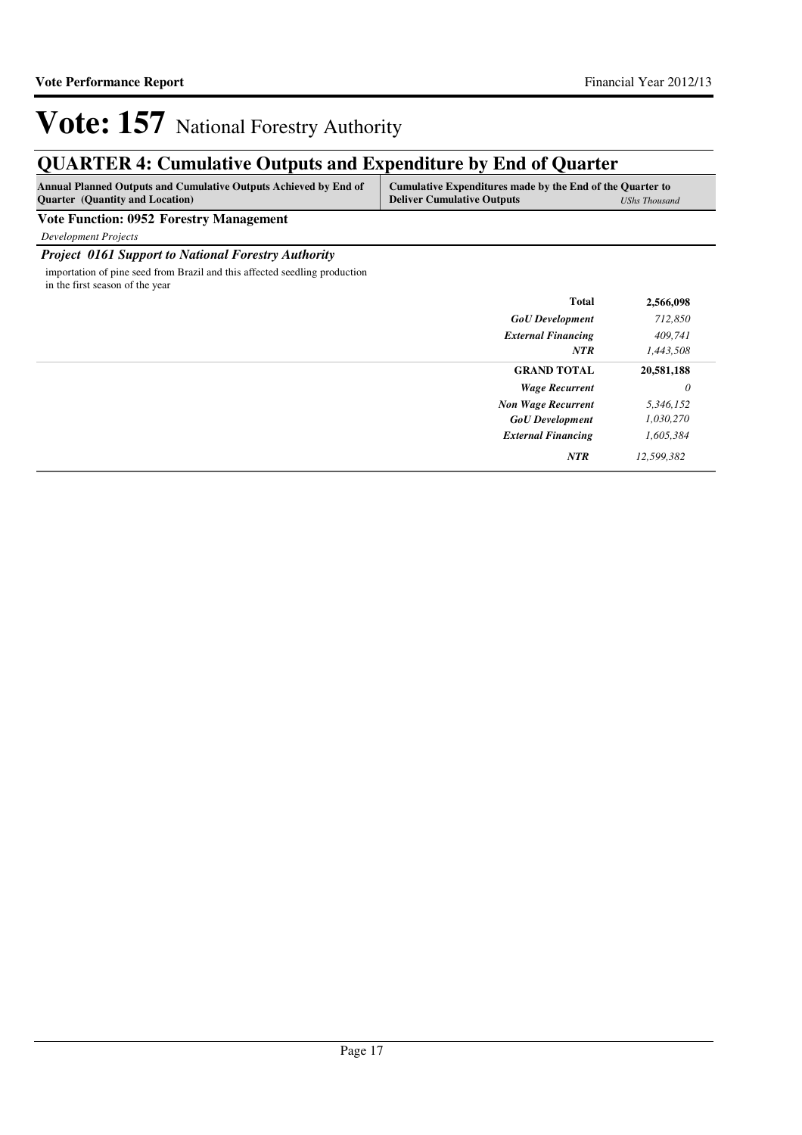## **QUARTER 4: Cumulative Outputs and Expenditure by End of Quarter**

| <b>Annual Planned Outputs and Cumulative Outputs Achieved by End of</b> | Cumulative Expenditures made by the End of the Quarter to |                      |
|-------------------------------------------------------------------------|-----------------------------------------------------------|----------------------|
| <b>Quarter</b> (Quantity and Location)                                  | <b>Deliver Cumulative Outputs</b>                         | <b>UShs Thousand</b> |

**Vote Function: 0952 Forestry Management**

*Development Projects*

#### *Project 0161 Support to National Forestry Authority*

importation of pine seed from Brazil and this affected seedling production in the first season of the year

|                           | <b>Total</b> | 2,566,098  |
|---------------------------|--------------|------------|
| <b>GoU</b> Development    |              | 712,850    |
| <b>External Financing</b> |              | 409,741    |
|                           | <b>NTR</b>   | 1,443,508  |
| <b>GRAND TOTAL</b>        |              | 20,581,188 |
| <b>Wage Recurrent</b>     |              | 0          |
| <b>Non Wage Recurrent</b> |              | 5,346,152  |
| <b>GoU</b> Development    |              | 1,030,270  |
| <b>External Financing</b> |              | 1,605,384  |
|                           | <b>NTR</b>   | 12,599,382 |
|                           |              |            |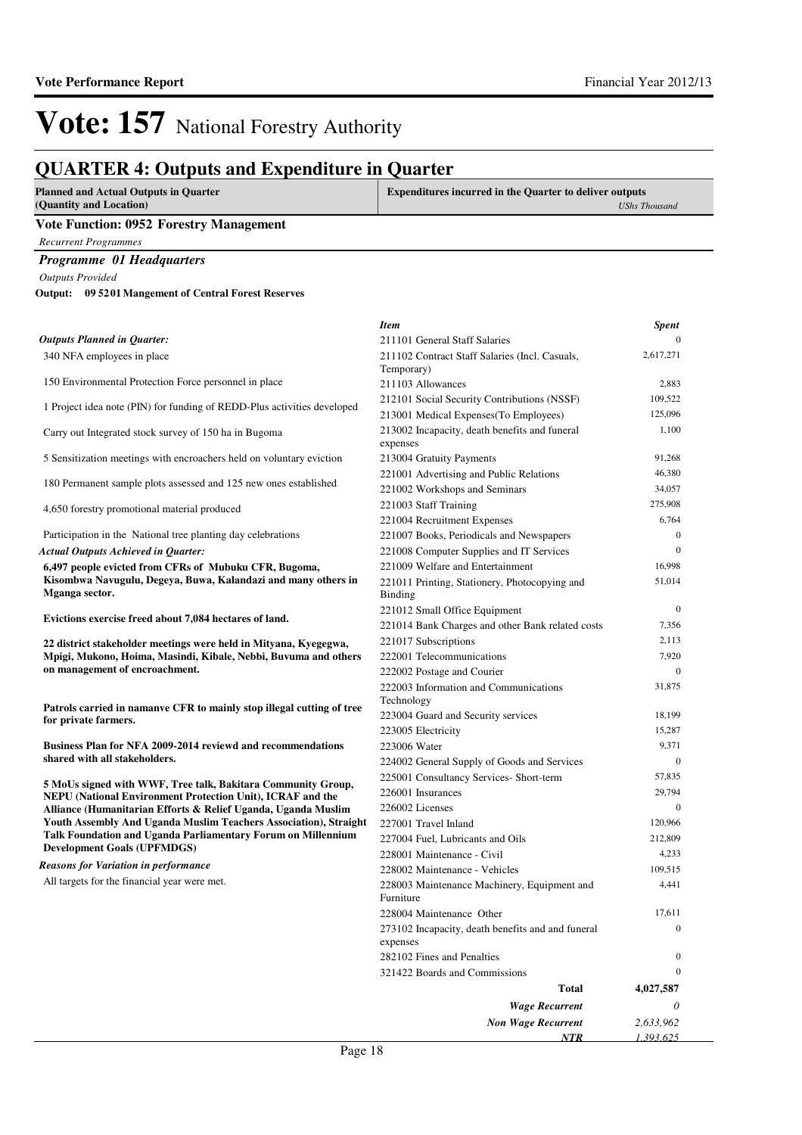### **QUARTER 4: Outputs and Expenditure in Quarter**

| <b>Planned and Actual Outputs in Quarter</b><br>(Quantity and Location)                            | <b>Expenditures incurred in the Quarter to deliver outputs</b>  | <b>UShs Thousand</b> |
|----------------------------------------------------------------------------------------------------|-----------------------------------------------------------------|----------------------|
| <b>Vote Function: 0952 Forestry Management</b>                                                     |                                                                 |                      |
| <b>Recurrent Programmes</b>                                                                        |                                                                 |                      |
| Programme 01 Headquarters                                                                          |                                                                 |                      |
| <b>Outputs Provided</b>                                                                            |                                                                 |                      |
| Output: 09 5201 Mangement of Central Forest Reserves                                               |                                                                 |                      |
|                                                                                                    |                                                                 |                      |
|                                                                                                    | <b>Item</b>                                                     | <b>Spent</b>         |
| <b>Outputs Planned in Quarter:</b>                                                                 | 211101 General Staff Salaries                                   | $\Omega$             |
| 340 NFA employees in place                                                                         | 211102 Contract Staff Salaries (Incl. Casuals,<br>Temporary)    | 2,617,271            |
| 150 Environmental Protection Force personnel in place                                              | 211103 Allowances                                               | 2,883                |
|                                                                                                    | 212101 Social Security Contributions (NSSF)                     | 109,522              |
| 1 Project idea note (PIN) for funding of REDD-Plus activities developed                            | 213001 Medical Expenses (To Employees)                          | 125,096              |
| Carry out Integrated stock survey of 150 ha in Bugoma                                              | 213002 Incapacity, death benefits and funeral<br>expenses       | 1,100                |
| 5 Sensitization meetings with encroachers held on voluntary eviction                               | 213004 Gratuity Payments                                        | 91,268               |
|                                                                                                    | 221001 Advertising and Public Relations                         | 46,380               |
| 180 Permanent sample plots assessed and 125 new ones established                                   | 221002 Workshops and Seminars                                   | 34,057               |
| 4,650 forestry promotional material produced                                                       | 221003 Staff Training                                           | 275,908              |
|                                                                                                    | 221004 Recruitment Expenses                                     | 6,764                |
| Participation in the National tree planting day celebrations                                       | 221007 Books, Periodicals and Newspapers                        | $\mathbf{0}$         |
| <b>Actual Outputs Achieved in Quarter:</b>                                                         | 221008 Computer Supplies and IT Services                        | $\Omega$             |
| 6,497 people evicted from CFRs of Mubuku CFR, Bugoma,                                              | 221009 Welfare and Entertainment                                | 16,998               |
| Kisombwa Navugulu, Degeya, Buwa, Kalandazi and many others in<br>Mganga sector.                    | 221011 Printing, Stationery, Photocopying and<br><b>Binding</b> | 51,014               |
|                                                                                                    | 221012 Small Office Equipment                                   | $\mathbf{0}$         |
| Evictions exercise freed about 7,084 hectares of land.                                             | 221014 Bank Charges and other Bank related costs                | 7,356                |
| 22 district stakeholder meetings were held in Mityana, Kyegegwa,                                   | 221017 Subscriptions                                            | 2,113                |
| Mpigi, Mukono, Hoima, Masindi, Kibale, Nebbi, Buvuma and others                                    | 222001 Telecommunications                                       | 7,920                |
| on management of encroachment.                                                                     | 222002 Postage and Courier                                      | $\mathbf{0}$         |
|                                                                                                    | 222003 Information and Communications                           | 31,875               |
| Patrols carried in namanye CFR to mainly stop illegal cutting of tree                              | Technology                                                      |                      |
| for private farmers.                                                                               | 223004 Guard and Security services                              | 18,199               |
|                                                                                                    | 223005 Electricity                                              | 15,287               |
| <b>Business Plan for NFA 2009-2014 reviewd and recommendations</b>                                 | 223006 Water                                                    | 9,371                |
| shared with all stakeholders.                                                                      | 224002 General Supply of Goods and Services                     | $\mathbf{0}$         |
| 5 MoUs signed with WWF, Tree talk, Bakitara Community Group,                                       | 225001 Consultancy Services- Short-term                         | 57,835               |
| NEPU (National Environment Protection Unit), ICRAF and the                                         | 226001 Insurances                                               | 29,794               |
| Alliance (Humanitarian Efforts & Relief Uganda, Uganda Muslim                                      | 226002 Licenses                                                 | $\mathbf{0}$         |
| Youth Assembly And Uganda Muslim Teachers Association), Straight                                   | 227001 Travel Inland                                            | 120,966              |
| Talk Foundation and Uganda Parliamentary Forum on Millennium<br><b>Development Goals (UPFMDGS)</b> | 227004 Fuel, Lubricants and Oils                                | 212,809              |
| <b>Reasons for Variation in performance</b>                                                        | 228001 Maintenance - Civil                                      | 4,233                |
|                                                                                                    | 228002 Maintenance - Vehicles                                   | 109,515              |
| All targets for the financial year were met.                                                       | 228003 Maintenance Machinery, Equipment and                     | 4,441                |

Furniture

expenses

*Wage Recurrent Non Wage Recurrent*

228004 Maintenance Other 17,611

282102 Fines and Penalties 0 321422 Boards and Commissions 0

273102 Incapacity, death benefits and and funeral

**Total**

*NTR*

*0 2,633,962 1,393,625*

0

**4,027,587**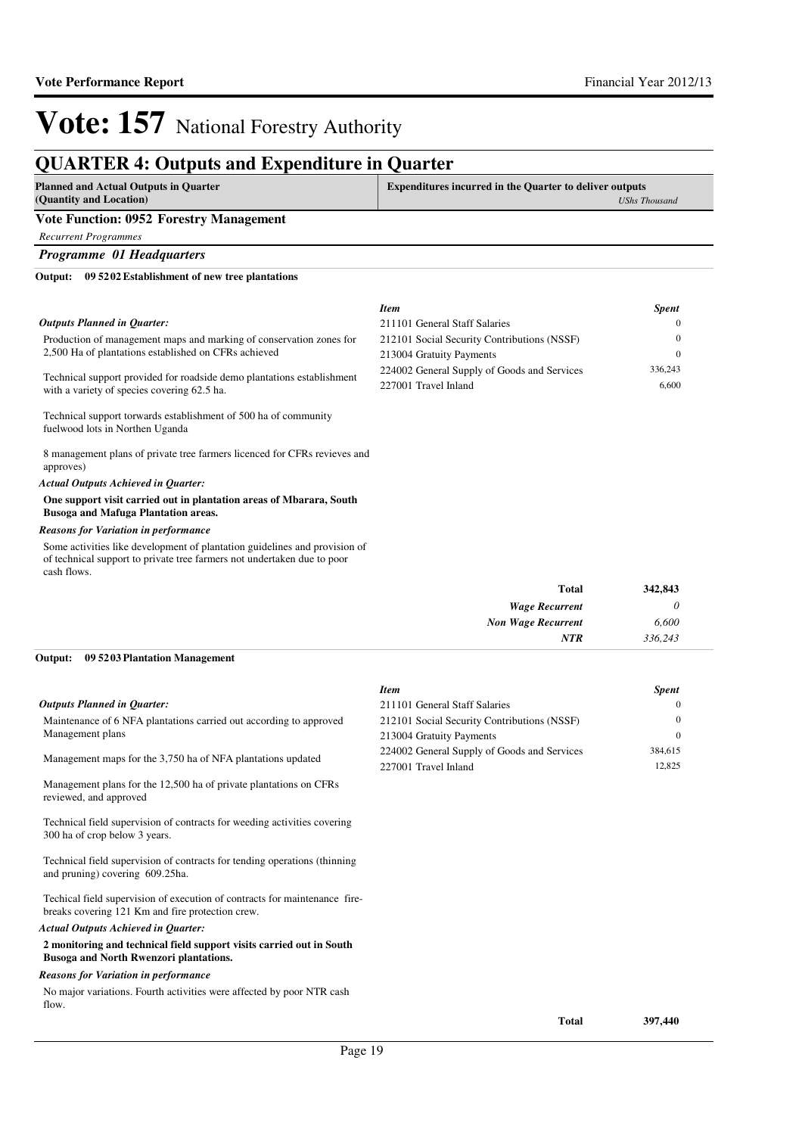*Item Spent* 211101 General Staff Salaries 0 212101 Social Security Contributions (NSSF) 0 213004 Gratuity Payments 0 224002 General Supply of Goods and Services 336,243 227001 Travel Inland 6,600

## **Vote: 157** National Forestry Authority

### **QUARTER 4: Outputs and Expenditure in Quarter**

| <b>Planned and Actual Outputs in Quarter</b><br>(Quantity and Location) | <b>Expenditures incurred in the Quarter to deliver outputs</b><br><b>UShs Thousand</b> |
|-------------------------------------------------------------------------|----------------------------------------------------------------------------------------|
| <b>Vote Function: 0952 Forestry Management</b>                          |                                                                                        |
| <b>Recurrent Programmes</b>                                             |                                                                                        |
| <b>Programme 01 Headquarters</b>                                        |                                                                                        |
| 09 5202 Establishment of new tree plantations<br>Output:                |                                                                                        |

#### *Outputs Planned in Quarter:*

Production of management maps and marking of conservation zones for 2,500 Ha of plantations established on CFRs achieved

Technical support provided for roadside demo plantations establishment with a variety of species covering 62.5 ha.

Technical support torwards establishment of 500 ha of community fuelwood lots in Northen Uganda

8 management plans of private tree farmers licenced for CFRs revieves and approves)

#### *Actual Outputs Achieved in Quarter:*

#### **One support visit carried out in plantation areas of Mbarara, South Busoga and Mafuga Plantation areas.**

#### *Reasons for Variation in performance*

Some activities like development of plantation guidelines and provision of of technical support to private tree farmers not undertaken due to poor cash flows.

| 342,843 |
|---------|
|         |
| 6,600   |
| 336,243 |
|         |

#### **09 5203 Plantation Management Output:**

|                                                                                                                                | <b>Item</b>                                 | <b>Spent</b> |
|--------------------------------------------------------------------------------------------------------------------------------|---------------------------------------------|--------------|
| <b>Outputs Planned in Quarter:</b>                                                                                             | 211101 General Staff Salaries               | $\Omega$     |
| Maintenance of 6 NFA plantations carried out according to approved                                                             | 212101 Social Security Contributions (NSSF) | $\Omega$     |
| Management plans                                                                                                               | 213004 Gratuity Payments                    | $\Omega$     |
|                                                                                                                                | 224002 General Supply of Goods and Services | 384,615      |
| Management maps for the 3,750 ha of NFA plantations updated                                                                    | 227001 Travel Inland                        | 12,825       |
| Management plans for the 12,500 ha of private plantations on CFRs<br>reviewed, and approved                                    |                                             |              |
| Technical field supervision of contracts for weeding activities covering<br>300 ha of crop below 3 years.                      |                                             |              |
| Technical field supervision of contracts for tending operations (thinning<br>and pruning) covering 609.25ha.                   |                                             |              |
| Techical field supervision of execution of contracts for maintenance fire-<br>breaks covering 121 Km and fire protection crew. |                                             |              |
| <b>Actual Outputs Achieved in Quarter:</b>                                                                                     |                                             |              |
| 2 monitoring and technical field support visits carried out in South<br><b>Busoga and North Rwenzori plantations.</b>          |                                             |              |
| <b>Reasons for Variation in performance</b>                                                                                    |                                             |              |

No major variations. Fourth activities were affected by poor NTR cash flow.

**Total 397,440**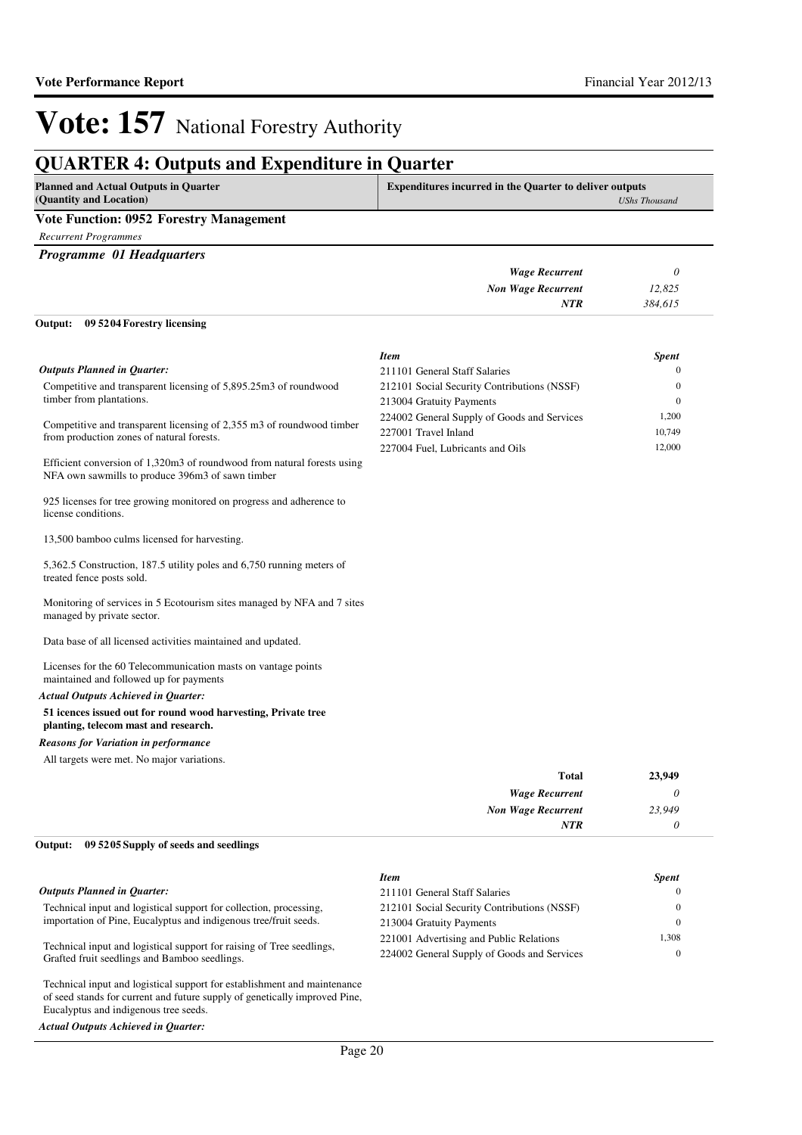## **QUARTER 4: Outputs and Expenditure in Quarter**

| <b>Planned and Actual Outputs in Quarter</b><br>(Quantity and Location) | <b>Expenditures incurred in the Quarter to deliver outputs</b><br>UShs Thousand |  |
|-------------------------------------------------------------------------|---------------------------------------------------------------------------------|--|
| <b>Vote Function: 0952 Forestry Management</b>                          |                                                                                 |  |
| Recurrent Programmes                                                    |                                                                                 |  |

*Programme 01 Headquarters*

|                                    | <b>Wage Recurrent</b>     |         |  |
|------------------------------------|---------------------------|---------|--|
|                                    | <b>Non Wage Recurrent</b> | 12,825  |  |
|                                    | NTR                       | 384.615 |  |
| Output: 09 5204 Forestry licensing |                           |         |  |

|                                                                                                                             | <b>Item</b>                                 | <b>Spent</b> |
|-----------------------------------------------------------------------------------------------------------------------------|---------------------------------------------|--------------|
| <b>Outputs Planned in Quarter:</b>                                                                                          | 211101 General Staff Salaries               | $\mathbf{0}$ |
| Competitive and transparent licensing of 5,895.25m3 of roundwood                                                            | 212101 Social Security Contributions (NSSF) | $\mathbf{0}$ |
| timber from plantations.                                                                                                    | 213004 Gratuity Payments                    | $\mathbf{0}$ |
| Competitive and transparent licensing of 2,355 m3 of roundwood timber                                                       | 224002 General Supply of Goods and Services | 1,200        |
| from production zones of natural forests.                                                                                   | 227001 Travel Inland                        | 10,749       |
|                                                                                                                             | 227004 Fuel, Lubricants and Oils            | 12,000       |
| Efficient conversion of 1,320m3 of roundwood from natural forests using<br>NFA own sawmills to produce 396m3 of sawn timber |                                             |              |
| 925 licenses for tree growing monitored on progress and adherence to<br>license conditions.                                 |                                             |              |
| 13,500 bamboo culms licensed for harvesting.                                                                                |                                             |              |
| 5,362.5 Construction, 187.5 utility poles and 6,750 running meters of<br>treated fence posts sold.                          |                                             |              |
| Monitoring of services in 5 Ecotourism sites managed by NFA and 7 sites<br>managed by private sector.                       |                                             |              |
| Data base of all licensed activities maintained and updated.                                                                |                                             |              |
| Licenses for the 60 Telecommunication masts on vantage points<br>maintained and followed up for payments                    |                                             |              |
|                                                                                                                             |                                             |              |

#### *Actual Outputs Achieved in Quarter:*

#### **51 icences issued out for round wood harvesting, Private tree planting, telecom mast and research.**

#### *Reasons for Variation in performance*

Eucalyptus and indigenous tree seeds.

*Actual Outputs Achieved in Quarter:*

All targets were met. No major variations.

| 23,949 | <b>Total</b>              |
|--------|---------------------------|
| 0      | <b>Wage Recurrent</b>     |
| 23,949 | <b>Non Wage Recurrent</b> |
| 0      | <b>NTR</b>                |
|        |                           |

#### **09 5205 Supply of seeds and seedlings Output:**

|                                                                                                                                                        | <b>Item</b>                                 | <b>Spent</b> |
|--------------------------------------------------------------------------------------------------------------------------------------------------------|---------------------------------------------|--------------|
| <b>Outputs Planned in Quarter:</b>                                                                                                                     | 211101 General Staff Salaries               |              |
| Technical input and logistical support for collection, processing,                                                                                     | 212101 Social Security Contributions (NSSF) |              |
| importation of Pine, Eucalyptus and indigenous tree/fruit seeds.                                                                                       | 213004 Gratuity Payments                    |              |
| Technical input and logistical support for raising of Tree seedlings,<br>Grafted fruit seedlings and Bamboo seedlings.                                 | 221001 Advertising and Public Relations     | 1,308        |
|                                                                                                                                                        | 224002 General Supply of Goods and Services | $\Omega$     |
| Technical input and logistical support for establishment and maintenance<br>of seed stands for current and future supply of genetically improved Pine, |                                             |              |

Page 20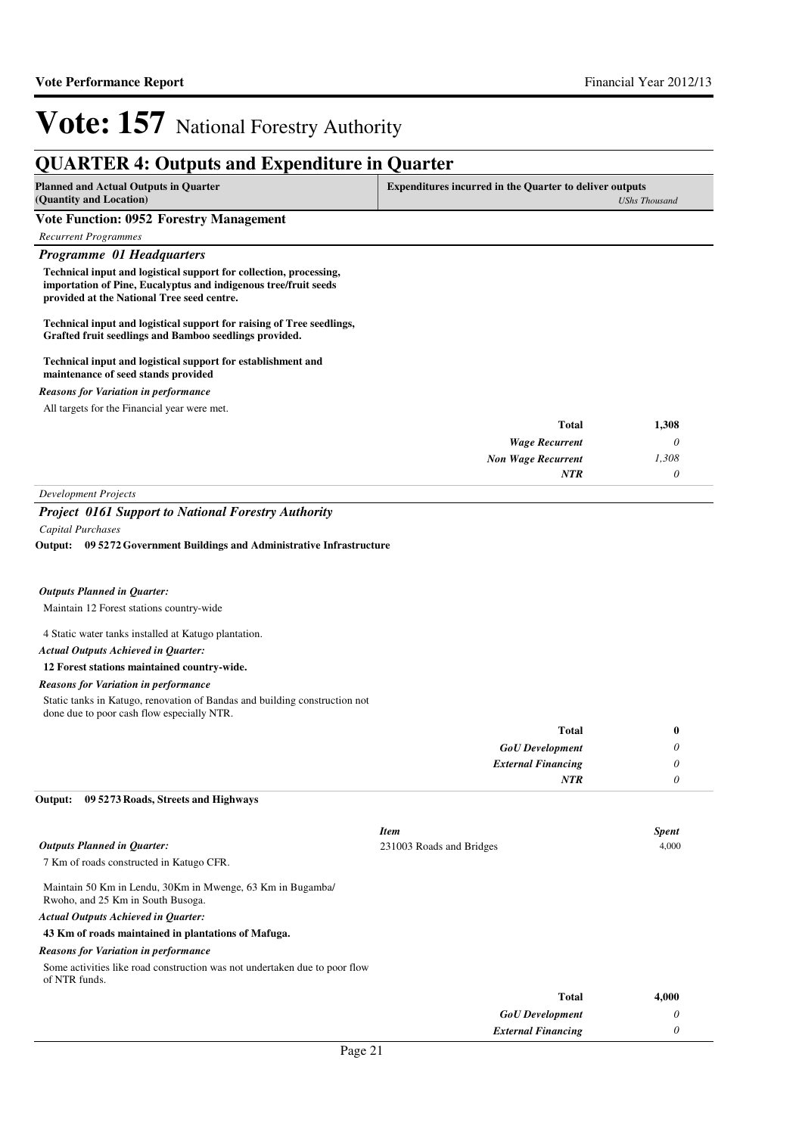#### **QUARTER 4: Outputs and Expenditure in Quarter Planned and Actual Outputs in Quarter (Quantity and Location) Expenditures incurred in the Quarter to deliver outputs**  *UShs Thousand* **Vote Function: 0952 Forestry Management** *Recurrent Programmes Programme 01 Headquarters* **Technical input and logistical support for collection, processing, importation of Pine, Eucalyptus and indigenous tree/fruit seeds provided at the National Tree seed centre. Technical input and logistical support for raising of Tree seedlings, Grafted fruit seedlings and Bamboo seedlings provided. Technical input and logistical support for establishment and maintenance of seed stands provided** *Wage Recurrent Non Wage Recurrent* **Total** *0 1,308 0* **1,308** *NTR* All targets for the Financial year were met. *Reasons for Variation in performance Development Projects Project 0161 Support to National Forestry Authority Capital Purchases* Maintain 12 Forest stations country-wide 4 Static water tanks installed at Katugo plantation. **12 Forest stations maintained country-wide. 09 5272 Government Buildings and Administrative Infrastructure Output:** *GoU Development External Financing* **Total** *0 0 0* **0** *Actual Outputs Achieved in Quarter: Outputs Planned in Quarter: NTR* Static tanks in Katugo, renovation of Bandas and building construction not done due to poor cash flow especially NTR. *Reasons for Variation in performance* 7 Km of roads constructed in Katugo CFR. Maintain 50 Km in Lendu, 30Km in Mwenge, 63 Km in Bugamba/ Rwoho, and 25 Km in South Busoga. **43 Km of roads maintained in plantations of Mafuga. 09 5273 Roads, Streets and Highways Output:** *Actual Outputs Achieved in Quarter: Outputs Planned in Quarter:* Some activities like road construction was not undertaken due to poor flow *Reasons for Variation in performance Item Spent* 231003 Roads and Bridges 4,000

of NTR funds.

| 4,000 | Total                     |
|-------|---------------------------|
|       | <b>GoU</b> Development    |
|       | <b>External Financing</b> |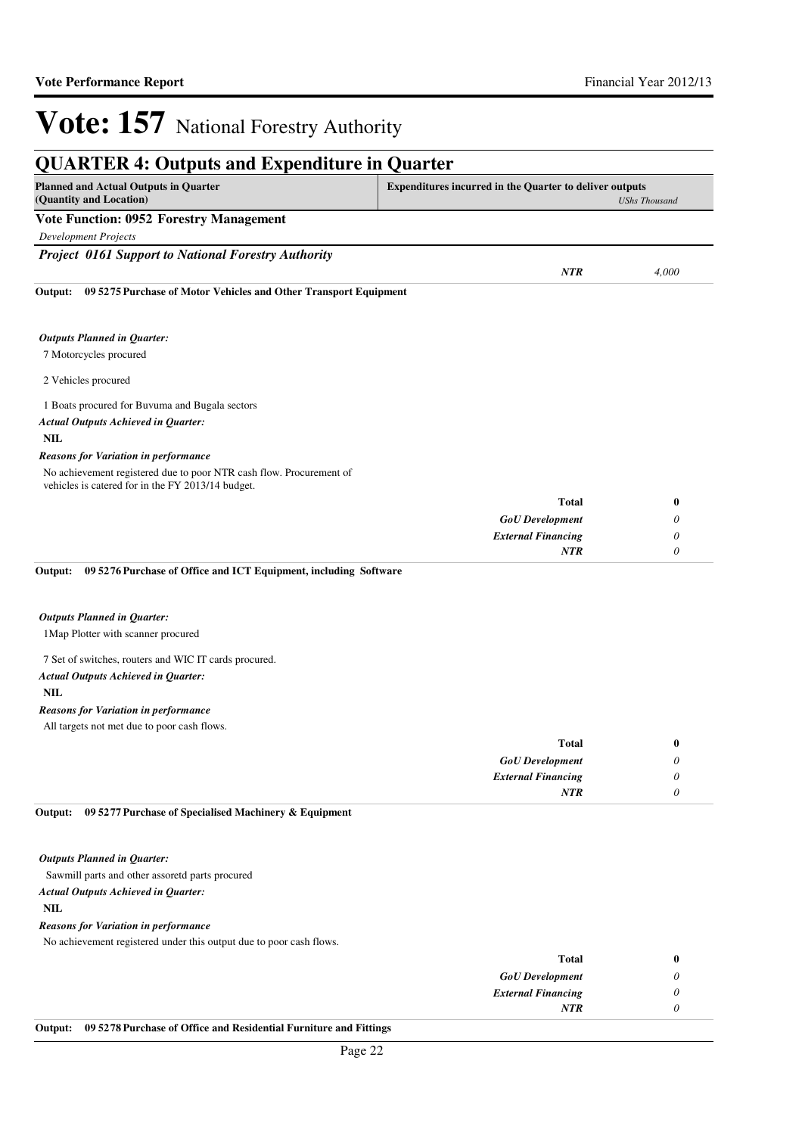|                                                                                                                                           | <b>QUARTER 4: Outputs and Expenditure in Quarter</b> |                           |  |
|-------------------------------------------------------------------------------------------------------------------------------------------|------------------------------------------------------|---------------------------|--|
| <b>Planned and Actual Outputs in Quarter</b><br><b>Expenditures incurred in the Quarter to deliver outputs</b><br>(Quantity and Location) |                                                      | <b>UShs Thousand</b>      |  |
| <b>Vote Function: 0952 Forestry Management</b>                                                                                            |                                                      |                           |  |
| <b>Development Projects</b>                                                                                                               |                                                      |                           |  |
| <b>Project 0161 Support to National Forestry Authority</b>                                                                                |                                                      |                           |  |
|                                                                                                                                           | <b>NTR</b>                                           | 4,000                     |  |
| 09 5275 Purchase of Motor Vehicles and Other Transport Equipment<br>Output:                                                               |                                                      |                           |  |
| <b>Outputs Planned in Quarter:</b>                                                                                                        |                                                      |                           |  |
| 7 Motorcycles procured                                                                                                                    |                                                      |                           |  |
| 2 Vehicles procured                                                                                                                       |                                                      |                           |  |
| 1 Boats procured for Buvuma and Bugala sectors                                                                                            |                                                      |                           |  |
| <b>Actual Outputs Achieved in Quarter:</b>                                                                                                |                                                      |                           |  |
| <b>NIL</b>                                                                                                                                |                                                      |                           |  |
| <b>Reasons for Variation in performance</b>                                                                                               |                                                      |                           |  |
| No achievement registered due to poor NTR cash flow. Procurement of<br>vehicles is catered for in the FY 2013/14 budget.                  |                                                      |                           |  |
|                                                                                                                                           | <b>Total</b>                                         | $\bf{0}$                  |  |
|                                                                                                                                           | <b>GoU</b> Development                               | 0                         |  |
|                                                                                                                                           | <b>External Financing</b>                            | 0                         |  |
| 09 5276 Purchase of Office and ICT Equipment, including Software<br>Output:                                                               | <b>NTR</b>                                           | 0                         |  |
| <b>Outputs Planned in Quarter:</b>                                                                                                        |                                                      |                           |  |
| 1 Map Plotter with scanner procured                                                                                                       |                                                      |                           |  |
| 7 Set of switches, routers and WIC IT cards procured.                                                                                     |                                                      |                           |  |
| <b>Actual Outputs Achieved in Quarter:</b>                                                                                                |                                                      |                           |  |
| <b>NIL</b>                                                                                                                                |                                                      |                           |  |
| <b>Reasons for Variation in performance</b>                                                                                               |                                                      |                           |  |
| All targets not met due to poor cash flows.                                                                                               |                                                      |                           |  |
|                                                                                                                                           | <b>Total</b>                                         | $\boldsymbol{0}$          |  |
|                                                                                                                                           | <b>GoU</b> Development                               | $\boldsymbol{\mathit{0}}$ |  |
|                                                                                                                                           | <b>External Financing</b>                            | $\boldsymbol{\theta}$     |  |
|                                                                                                                                           | <b>NTR</b>                                           | $\boldsymbol{\theta}$     |  |

#### Sawmill parts and other assoretd parts procured

#### *Actual Outputs Achieved in Quarter:*

**NIL**

#### *Reasons for Variation in performance*

No achievement registered under this output due to poor cash flows.

| 0 | <b>Total</b>              |
|---|---------------------------|
|   | <b>GoU</b> Development    |
|   | <b>External Financing</b> |
|   | <b>NTR</b>                |
|   |                           |

#### **Output: 09 5278 Purchase of Office and Residential Furniture and Fittings**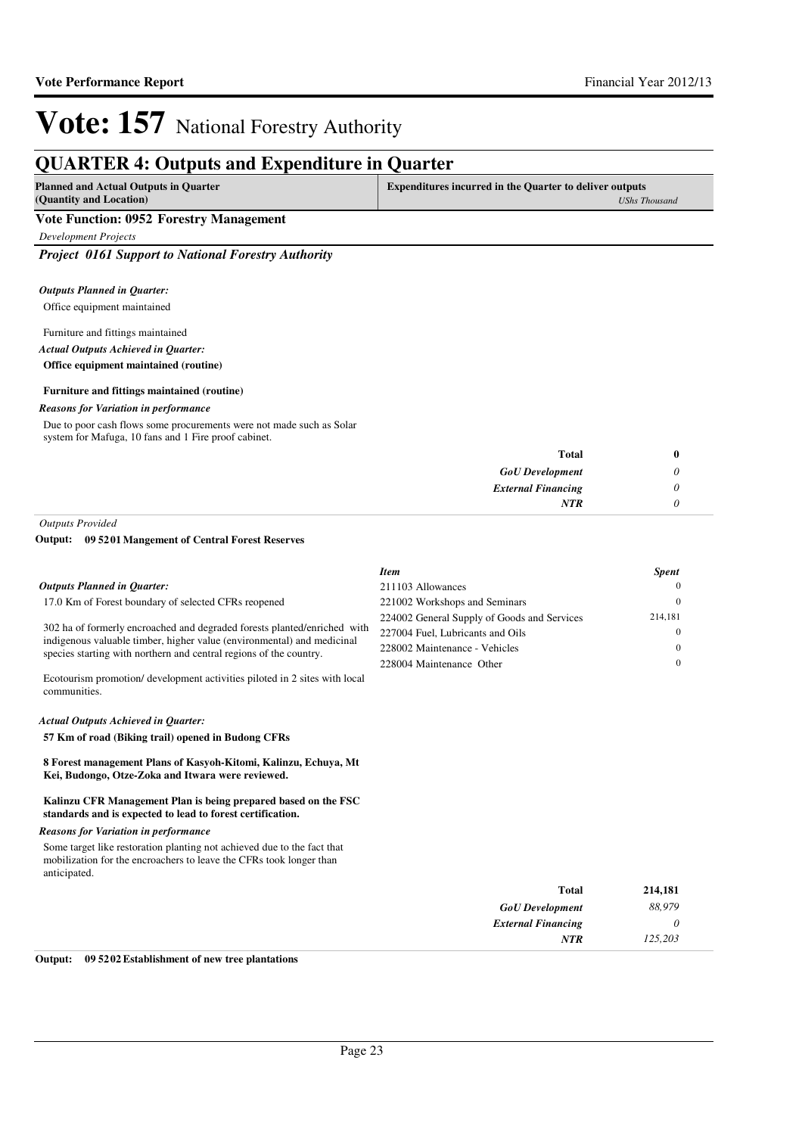### **QUARTER 4: Outputs and Expenditure in Quarter**

| Planned and Actual Outputs in Quarter   | <b>Expenditures incurred in the Quarter to deliver outputs</b> |  |
|-----------------------------------------|----------------------------------------------------------------|--|
| (Quantity and Location)                 | UShs Thousand                                                  |  |
| Vote Function: 0952 Forestry Management |                                                                |  |

*Development Projects*

*Project 0161 Support to National Forestry Authority*

#### Office equipment maintained *Outputs Planned in Quarter:*

#### Furniture and fittings maintained *Actual Outputs Achieved in Quarter:*

**Office equipment maintained (routine)**

#### **Furniture and fittings maintained (routine)**

#### *Reasons for Variation in performance*

Due to poor cash flows some procurements were not made such as Solar system for Mafuga, 10 fans and 1 Fire proof cabinet.

| <b>Total</b>              |
|---------------------------|
| <b>GoU</b> Development    |
| <b>External Financing</b> |
| <b>NTR</b>                |
|                           |

*Outputs Provided*

#### **09 5201 Mangement of Central Forest Reserves Output:**

|                                                                                                                                                                                                                          | <b>Item</b>                                 | <b>Spent</b> |
|--------------------------------------------------------------------------------------------------------------------------------------------------------------------------------------------------------------------------|---------------------------------------------|--------------|
| <b>Outputs Planned in Ouarter:</b>                                                                                                                                                                                       | 211103 Allowances                           |              |
| 17.0 Km of Forest boundary of selected CFRs reopened                                                                                                                                                                     | 221002 Workshops and Seminars               |              |
| 302 ha of formerly encroached and degraded forests planted/enriched with<br>indigenous valuable timber, higher value (environmental) and medicinal<br>species starting with northern and central regions of the country. | 224002 General Supply of Goods and Services | 214,181      |
|                                                                                                                                                                                                                          | 227004 Fuel, Lubricants and Oils            |              |
|                                                                                                                                                                                                                          | 228002 Maintenance - Vehicles               |              |
|                                                                                                                                                                                                                          | 228004 Maintenance Other                    |              |
| Ecotourism promotion/ development activities piloted in 2 sites with local<br>communities.                                                                                                                               |                                             |              |
|                                                                                                                                                                                                                          |                                             |              |

#### *Actual Outputs Achieved in Quarter:*

**57 Km of road (Biking trail) opened in Budong CFRs**

**8 Forest management Plans of Kasyoh-Kitomi, Kalinzu, Echuya, Mt Kei, Budongo, Otze-Zoka and Itwara were reviewed.**

#### **Kalinzu CFR Management Plan is being prepared based on the FSC standards and is expected to lead to forest certification.**

#### *Reasons for Variation in performance*

Some target like restoration planting not achieved due to the fact that mobilization for the encroachers to leave the CFRs took longer than anticipated.

| Total                     | 214,181 |
|---------------------------|---------|
| <b>GoU</b> Development    | 88,979  |
| <b>External Financing</b> | U       |
| <b>NTR</b>                | 125,203 |

#### **Output: 09 5202 Establishment of new tree plantations**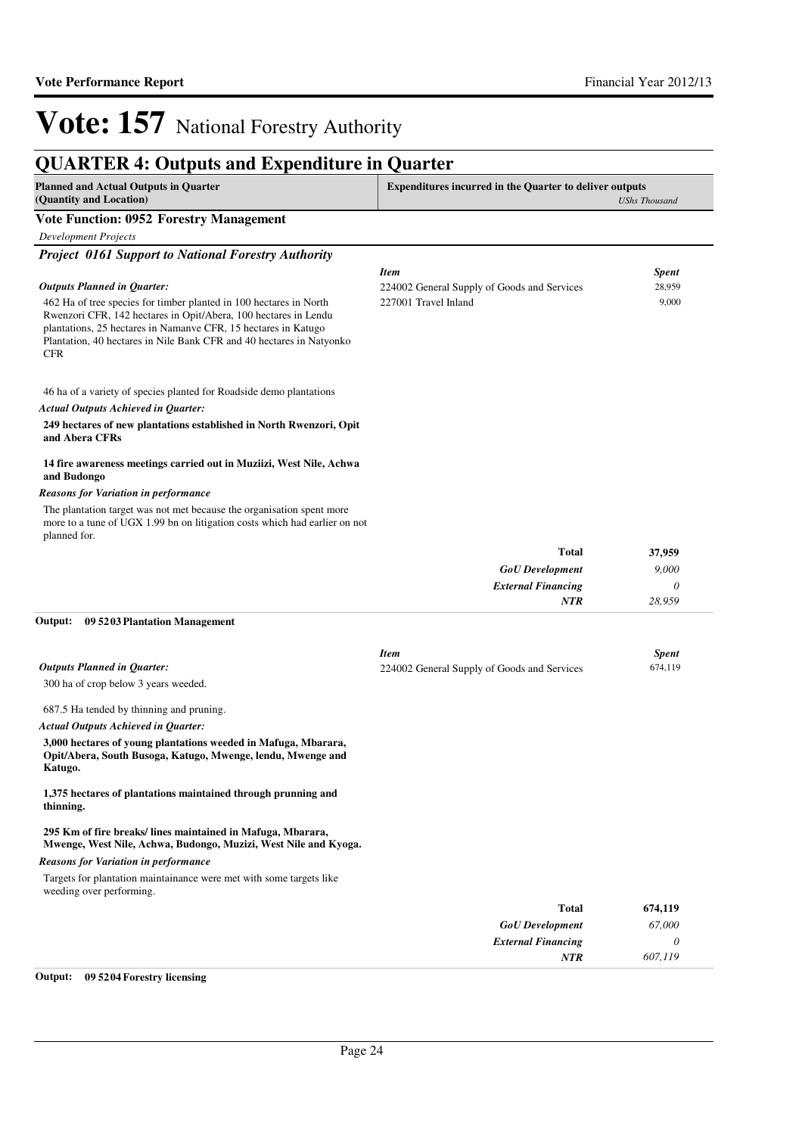## **QUARTER 4: Outputs and Expenditure in Quarter**

| <b>Planned and Actual Outputs in Quarter</b><br>(Quantity and Location)                                                                                                                                                 | <b>Expenditures incurred in the Quarter to deliver outputs</b><br><b>UShs Thousand</b> |                         |  |
|-------------------------------------------------------------------------------------------------------------------------------------------------------------------------------------------------------------------------|----------------------------------------------------------------------------------------|-------------------------|--|
| <b>Vote Function: 0952 Forestry Management</b>                                                                                                                                                                          |                                                                                        |                         |  |
| <b>Development Projects</b>                                                                                                                                                                                             |                                                                                        |                         |  |
| <b>Project 0161 Support to National Forestry Authority</b>                                                                                                                                                              |                                                                                        |                         |  |
| <b>Outputs Planned in Quarter:</b>                                                                                                                                                                                      | <b>Item</b><br>224002 General Supply of Goods and Services                             | <b>Spent</b><br>28,959  |  |
| 462 Ha of tree species for timber planted in 100 hectares in North                                                                                                                                                      | 227001 Travel Inland                                                                   | 9,000                   |  |
| Rwenzori CFR, 142 hectares in Opit/Abera, 100 hectares in Lendu<br>plantations, 25 hectares in Namanve CFR, 15 hectares in Katugo<br>Plantation, 40 hectares in Nile Bank CFR and 40 hectares in Natyonko<br><b>CFR</b> |                                                                                        |                         |  |
| 46 ha of a variety of species planted for Roadside demo plantations                                                                                                                                                     |                                                                                        |                         |  |
| <b>Actual Outputs Achieved in Quarter:</b>                                                                                                                                                                              |                                                                                        |                         |  |
| 249 hectares of new plantations established in North Rwenzori, Opit<br>and Abera CFRs                                                                                                                                   |                                                                                        |                         |  |
| 14 fire awareness meetings carried out in Muziizi, West Nile, Achwa<br>and Budongo                                                                                                                                      |                                                                                        |                         |  |
| Reasons for Variation in performance                                                                                                                                                                                    |                                                                                        |                         |  |
| The plantation target was not met because the organisation spent more<br>more to a tune of UGX 1.99 bn on litigation costs which had earlier on not<br>planned for.                                                     |                                                                                        |                         |  |
|                                                                                                                                                                                                                         | <b>Total</b>                                                                           | 37,959                  |  |
|                                                                                                                                                                                                                         | <b>GoU</b> Development                                                                 | 9,000                   |  |
|                                                                                                                                                                                                                         | <b>External Financing</b>                                                              | 0                       |  |
|                                                                                                                                                                                                                         | NTR                                                                                    | 28,959                  |  |
| 09 5203 Plantation Management<br>Output:                                                                                                                                                                                |                                                                                        |                         |  |
|                                                                                                                                                                                                                         | <b>Item</b>                                                                            |                         |  |
| <b>Outputs Planned in Quarter:</b>                                                                                                                                                                                      | 224002 General Supply of Goods and Services                                            | <b>Spent</b><br>674,119 |  |
| 300 ha of crop below 3 years weeded.                                                                                                                                                                                    |                                                                                        |                         |  |
|                                                                                                                                                                                                                         |                                                                                        |                         |  |
| 687.5 Ha tended by thinning and pruning.                                                                                                                                                                                |                                                                                        |                         |  |
| <b>Actual Outputs Achieved in Quarter:</b>                                                                                                                                                                              |                                                                                        |                         |  |
| 3,000 hectares of young plantations weeded in Mafuga, Mbarara,<br>Opit/Abera, South Busoga, Katugo, Mwenge, lendu, Mwenge and<br>Katugo.                                                                                |                                                                                        |                         |  |
| 1,375 hectares of plantations maintained through prunning and<br>thinning.                                                                                                                                              |                                                                                        |                         |  |
| 295 Km of fire breaks/lines maintained in Mafuga, Mbarara,<br>Mwenge, West Nile, Achwa, Budongo, Muzizi, West Nile and Kyoga.                                                                                           |                                                                                        |                         |  |
| <b>Reasons for Variation in performance</b>                                                                                                                                                                             |                                                                                        |                         |  |
| Targets for plantation maintainance were met with some targets like<br>weeding over performing.                                                                                                                         |                                                                                        |                         |  |
|                                                                                                                                                                                                                         | <b>Total</b>                                                                           | 674,119                 |  |
|                                                                                                                                                                                                                         | <b>GoU</b> Development                                                                 | 67,000                  |  |
|                                                                                                                                                                                                                         | <b>External Financing</b>                                                              | 0                       |  |
|                                                                                                                                                                                                                         | NTR                                                                                    | 607,119                 |  |
| Output:<br>09 5204 Forestry licensing                                                                                                                                                                                   |                                                                                        |                         |  |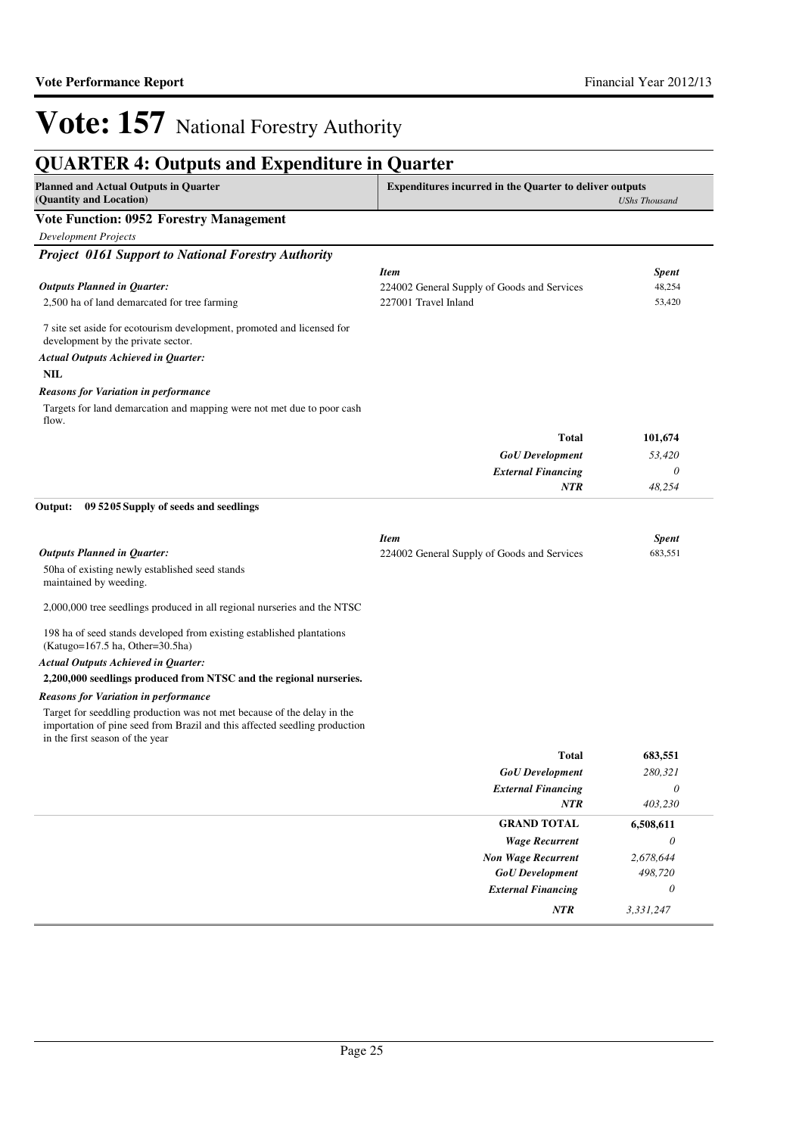### **QUARTER 4: Outputs and Expenditure in Quarter**

| <b>Planned and Actual Outputs in Quarter</b><br>(Quantity and Location)                                                                                                                  | <b>Expenditures incurred in the Quarter to deliver outputs</b><br><b>UShs Thousand</b> |              |  |
|------------------------------------------------------------------------------------------------------------------------------------------------------------------------------------------|----------------------------------------------------------------------------------------|--------------|--|
| <b>Vote Function: 0952 Forestry Management</b>                                                                                                                                           |                                                                                        |              |  |
| <b>Development Projects</b>                                                                                                                                                              |                                                                                        |              |  |
| <b>Project 0161 Support to National Forestry Authority</b>                                                                                                                               |                                                                                        |              |  |
|                                                                                                                                                                                          | <b>Item</b>                                                                            | Spent        |  |
| <b>Outputs Planned in Quarter:</b>                                                                                                                                                       | 224002 General Supply of Goods and Services                                            | 48,254       |  |
| 2,500 ha of land demarcated for tree farming                                                                                                                                             | 227001 Travel Inland                                                                   | 53,420       |  |
| 7 site set aside for ecotourism development, promoted and licensed for<br>development by the private sector.                                                                             |                                                                                        |              |  |
| <b>Actual Outputs Achieved in Quarter:</b>                                                                                                                                               |                                                                                        |              |  |
| <b>NIL</b>                                                                                                                                                                               |                                                                                        |              |  |
| <b>Reasons for Variation in performance</b>                                                                                                                                              |                                                                                        |              |  |
| Targets for land demarcation and mapping were not met due to poor cash<br>flow.                                                                                                          |                                                                                        |              |  |
|                                                                                                                                                                                          | <b>Total</b>                                                                           | 101,674      |  |
|                                                                                                                                                                                          | <b>GoU</b> Development                                                                 | 53,420       |  |
|                                                                                                                                                                                          | <b>External Financing</b>                                                              | 0            |  |
|                                                                                                                                                                                          | <b>NTR</b>                                                                             | 48,254       |  |
| 09 5205 Supply of seeds and seedlings<br>Output:                                                                                                                                         |                                                                                        |              |  |
|                                                                                                                                                                                          | <b>Item</b>                                                                            | <b>Spent</b> |  |
| <b>Outputs Planned in Quarter:</b>                                                                                                                                                       | 224002 General Supply of Goods and Services                                            | 683,551      |  |
| 50ha of existing newly established seed stands<br>maintained by weeding.                                                                                                                 |                                                                                        |              |  |
| 2,000,000 tree seedlings produced in all regional nurseries and the NTSC                                                                                                                 |                                                                                        |              |  |
| 198 ha of seed stands developed from existing established plantations<br>(Katugo=167.5 ha, Other=30.5ha)                                                                                 |                                                                                        |              |  |
| <b>Actual Outputs Achieved in Quarter:</b>                                                                                                                                               |                                                                                        |              |  |
| 2,200,000 seedlings produced from NTSC and the regional nurseries.                                                                                                                       |                                                                                        |              |  |
| <b>Reasons for Variation in performance</b>                                                                                                                                              |                                                                                        |              |  |
| Target for seeddling production was not met because of the delay in the<br>importation of pine seed from Brazil and this affected seedling production<br>in the first season of the year |                                                                                        |              |  |
|                                                                                                                                                                                          | <b>Total</b>                                                                           | 683,551      |  |
|                                                                                                                                                                                          | <b>GoU</b> Development                                                                 | 280,321      |  |
|                                                                                                                                                                                          | <b>External Financing</b>                                                              | $\theta$     |  |
|                                                                                                                                                                                          | <b>NTR</b>                                                                             | 403,230      |  |
|                                                                                                                                                                                          | <b>GRAND TOTAL</b>                                                                     | 6,508,611    |  |
|                                                                                                                                                                                          | <b>Wage Recurrent</b>                                                                  | $\theta$     |  |
|                                                                                                                                                                                          | <b>Non Wage Recurrent</b>                                                              | 2,678,644    |  |
|                                                                                                                                                                                          | <b>GoU</b> Development                                                                 | 498,720      |  |
|                                                                                                                                                                                          | <b>External Financing</b>                                                              | $\theta$     |  |
|                                                                                                                                                                                          | NTR                                                                                    | 3,331,247    |  |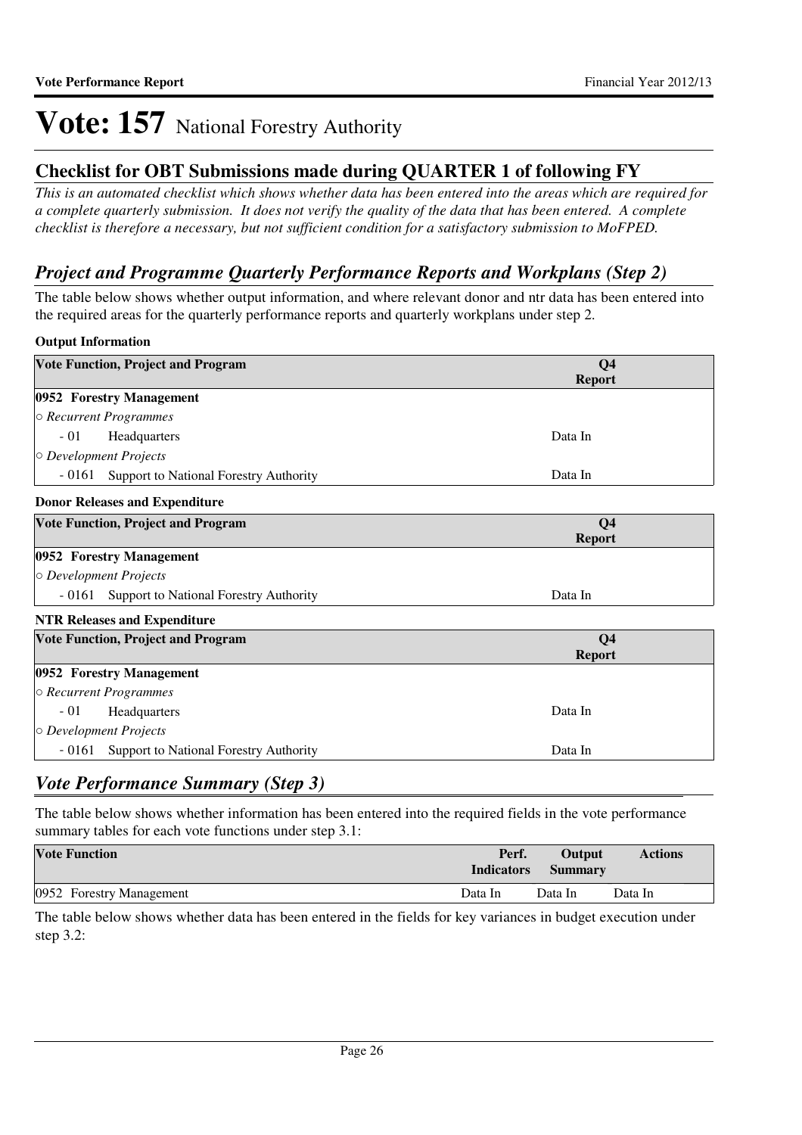### **Checklist for OBT Submissions made during QUARTER 1 of following FY**

*This is an automated checklist which shows whether data has been entered into the areas which are required for a complete quarterly submission. It does not verify the quality of the data that has been entered. A complete checklist is therefore a necessary, but not sufficient condition for a satisfactory submission to MoFPED.*

### *Project and Programme Quarterly Performance Reports and Workplans (Step 2)*

The table below shows whether output information, and where relevant donor and ntr data has been entered into the required areas for the quarterly performance reports and quarterly workplans under step 2.

#### **Output Information**

| <b>Vote Function, Project and Program</b>               | Q <sub>4</sub><br><b>Report</b> |
|---------------------------------------------------------|---------------------------------|
| 0952 Forestry Management                                |                                 |
| $\circ$ Recurrent Programmes                            |                                 |
| $-01$<br>Headquarters                                   | Data In                         |
| $\circ$ Development Projects                            |                                 |
| $-0161$<br>Support to National Forestry Authority       | Data In                         |
| <b>Donor Releases and Expenditure</b>                   |                                 |
| <b>Vote Function, Project and Program</b>               | Q <sub>4</sub><br><b>Report</b> |
| 0952 Forestry Management                                |                                 |
| $\circ$ Development Projects                            |                                 |
| - 0161<br><b>Support to National Forestry Authority</b> | Data In                         |
| <b>NTR Releases and Expenditure</b>                     |                                 |
| <b>Vote Function, Project and Program</b>               | Q <sub>4</sub><br><b>Report</b> |
| 0952 Forestry Management                                |                                 |
| ○ Recurrent Programmes                                  |                                 |
| $-01$<br>Headquarters                                   | Data In                         |
| $\circ$ Development Projects                            |                                 |
| $-0161$<br>Support to National Forestry Authority       | Data In                         |

### *Vote Performance Summary (Step 3)*

The table below shows whether information has been entered into the required fields in the vote performance summary tables for each vote functions under step 3.1:

| <b>Vote Function</b>     | Perf.<br><b>Indicators</b> | <b>Output</b><br><b>Summary</b> | <b>Actions</b> |
|--------------------------|----------------------------|---------------------------------|----------------|
| 0952 Forestry Management | Data In                    | Data In                         | Data In        |

The table below shows whether data has been entered in the fields for key variances in budget execution under step 3.2: